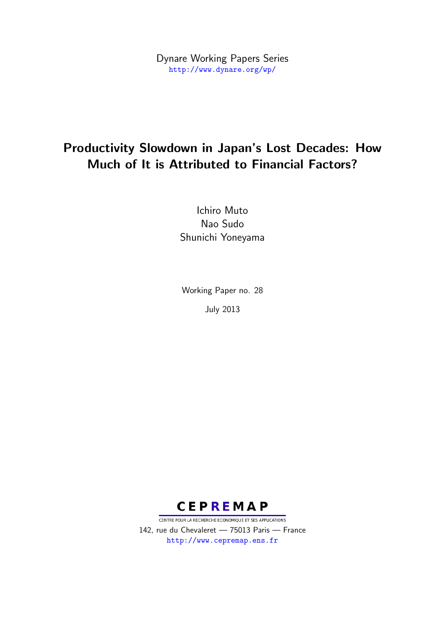Dynare Working Papers Series <http://www.dynare.org/wp/>

# Productivity Slowdown in Japan's Lost Decades: How Much of It is Attributed to Financial Factors?

Ichiro Muto Nao Sudo Shunichi Yoneyama

Working Paper no. 28 July 2013



CENTRE POUR LA RECHERCHE ECONOMIQUE ET SES APPLICATIONS 142, rue du Chevaleret — 75013 Paris — France <http://www.cepremap.ens.fr>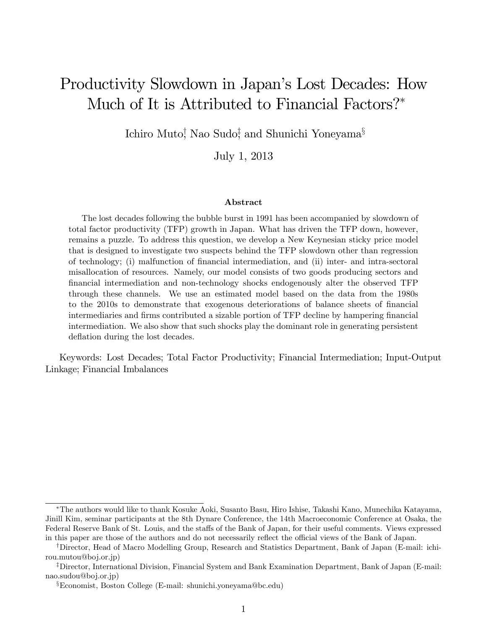# Productivity Slowdown in Japan's Lost Decades: How Much of It is Attributed to Financial Factors?\*

Ichiro Muto<sup>†</sup>, Nao Sudo‡ and Shunichi Yoneyama<sup>§</sup>

July 1, 2013

#### Abstract

The lost decades following the bubble burst in 1991 has been accompanied by slowdown of total factor productivity (TFP) growth in Japan. What has driven the TFP down, however, remains a puzzle. To address this question, we develop a New Keynesian sticky price model that is designed to investigate two suspects behind the TFP slowdown other than regression of technology; (i) malfunction of Önancial intermediation, and (ii) inter- and intra-sectoral misallocation of resources. Namely, our model consists of two goods producing sectors and Önancial intermediation and non-technology shocks endogenously alter the observed TFP through these channels. We use an estimated model based on the data from the 1980s to the 2010s to demonstrate that exogenous deteriorations of balance sheets of financial intermediaries and firms contributed a sizable portion of TFP decline by hampering financial intermediation. We also show that such shocks play the dominant role in generating persistent deflation during the lost decades.

Keywords: Lost Decades; Total Factor Productivity; Financial Intermediation; Input-Output Linkage; Financial Imbalances

The authors would like to thank Kosuke Aoki, Susanto Basu, Hiro Ishise, Takashi Kano, Munechika Katayama, Jinill Kim, seminar participants at the 8th Dynare Conference, the 14th Macroeconomic Conference at Osaka, the Federal Reserve Bank of St. Louis, and the staffs of the Bank of Japan, for their useful comments. Views expressed in this paper are those of the authors and do not necessarily reflect the official views of the Bank of Japan.

<sup>&</sup>lt;sup>†</sup>Director, Head of Macro Modelling Group, Research and Statistics Department, Bank of Japan (E-mail: ichirou.mutou@boj.or.jp)

<sup>&</sup>lt;sup>‡</sup>Director, International Division, Financial System and Bank Examination Department, Bank of Japan (E-mail: nao.sudou@boj.or.jp)

 $\S$ Economist, Boston College (E-mail: shunichi.yoneyama@bc.edu)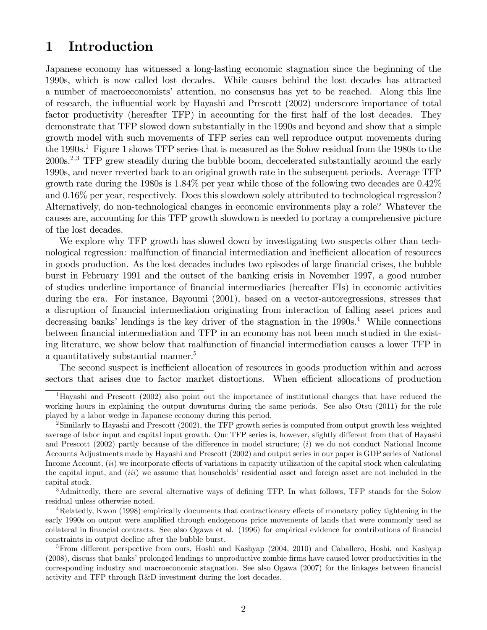# 1 Introduction

Japanese economy has witnessed a long-lasting economic stagnation since the beginning of the 1990s, which is now called lost decades. While causes behind the lost decades has attracted a number of macroeconomists' attention, no consensus has yet to be reached. Along this line of research, the influential work by Hayashi and Prescott (2002) underscore importance of total factor productivity (hereafter TFP) in accounting for the first half of the lost decades. They demonstrate that TFP slowed down substantially in the 1990s and beyond and show that a simple growth model with such movements of TFP series can well reproduce output movements during the 1990s.<sup>1</sup> Figure 1 shows TFP series that is measured as the Solow residual from the 1980s to the  $2000s<sup>2,3</sup>$  TFP grew steadily during the bubble boom, deccelerated substantially around the early 1990s, and never reverted back to an original growth rate in the subsequent periods. Average TFP growth rate during the 1980s is 1.84% per year while those of the following two decades are 0.42% and 0.16% per year, respectively. Does this slowdown solely attributed to technological regression? Alternatively, do non-technological changes in economic environments play a role? Whatever the causes are, accounting for this TFP growth slowdown is needed to portray a comprehensive picture of the lost decades.

We explore why TFP growth has slowed down by investigating two suspects other than technological regression: malfunction of financial intermediation and inefficient allocation of resources in goods production. As the lost decades includes two episodes of large financial crises, the bubble burst in February 1991 and the outset of the banking crisis in November 1997, a good number of studies underline importance of Önancial intermediaries (hereafter FIs) in economic activities during the era. For instance, Bayoumi (2001), based on a vector-autoregressions, stresses that a disruption of financial intermediation originating from interaction of falling asset prices and decreasing banks' lendings is the key driver of the stagnation in the  $1990s<sup>4</sup>$  While connections between financial intermediation and TFP in an economy has not been much studied in the existing literature, we show below that malfunction of financial intermediation causes a lower TFP in a quantitatively substantial manner.<sup>5</sup>

The second suspect is inefficient allocation of resources in goods production within and across sectors that arises due to factor market distortions. When efficient allocations of production

<sup>1</sup>Hayashi and Prescott (2002) also point out the importance of institutional changes that have reduced the working hours in explaining the output downturns during the same periods. See also Otsu (2011) for the role played by a labor wedge in Japanese economy during this period.

 $2$ Similarly to Hayashi and Prescott (2002), the TFP growth series is computed from output growth less weighted average of labor input and capital input growth. Our TFP series is, however, slightly different from that of Hayashi and Prescott (2002) partly because of the difference in model structure; (i) we do not conduct National Income Accounts Adjustments made by Hayashi and Prescott (2002) and output series in our paper is GDP series of National Income Account,  $(ii)$  we incorporate effects of variations in capacity utilization of the capital stock when calculating the capital input, and  $(iii)$  we assume that households' residential asset and foreign asset are not included in the capital stock.

<sup>&</sup>lt;sup>3</sup>Admittedly, there are several alternative ways of defining TFP. In what follows, TFP stands for the Solow residual unless otherwise noted.

<sup>&</sup>lt;sup>4</sup>Relatedly, Kwon (1998) empirically documents that contractionary effects of monetary policy tightening in the early 1990s on output were amplified through endogenous price movements of lands that were commonly used as collateral in financial contracts. See also Ogawa et al. (1996) for empirical evidence for contributions of financial constraints in output decline after the bubble burst.

<sup>&</sup>lt;sup>5</sup>From different perspective from ours, Hoshi and Kashyap (2004, 2010) and Caballero, Hoshi, and Kashyap (2008), discuss that banks' prolonged lendings to unproductive zombie firms have caused lower productivities in the corresponding industry and macroeconomic stagnation. See also Ogawa (2007) for the linkages between financial activity and TFP through R&D investment during the lost decades.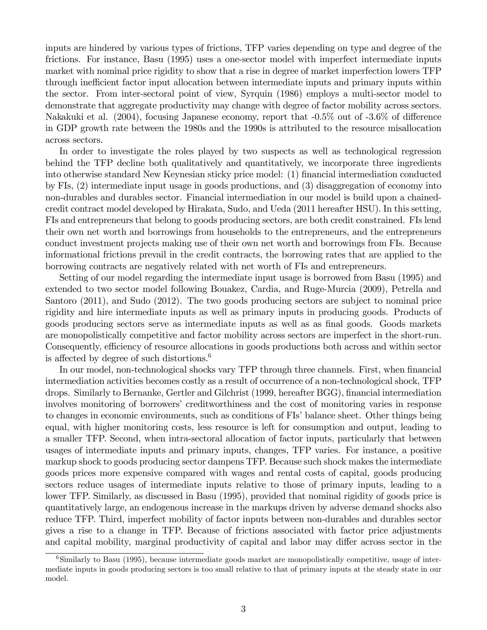inputs are hindered by various types of frictions, TFP varies depending on type and degree of the frictions. For instance, Basu (1995) uses a one-sector model with imperfect intermediate inputs market with nominal price rigidity to show that a rise in degree of market imperfection lowers TFP through inefficient factor input allocation between intermediate inputs and primary inputs within the sector. From inter-sectoral point of view, Syrquin (1986) employs a multi-sector model to demonstrate that aggregate productivity may change with degree of factor mobility across sectors. Nakakuki et al. (2004), focusing Japanese economy, report that  $-0.5\%$  out of  $-3.6\%$  of difference in GDP growth rate between the 1980s and the 1990s is attributed to the resource misallocation across sectors.

In order to investigate the roles played by two suspects as well as technological regression behind the TFP decline both qualitatively and quantitatively, we incorporate three ingredients into otherwise standard New Keynesian sticky price model: (1) financial intermediation conducted by FIs, (2) intermediate input usage in goods productions, and (3) disaggregation of economy into non-durables and durables sector. Financial intermediation in our model is build upon a chainedcredit contract model developed by Hirakata, Sudo, and Ueda (2011 hereafter HSU). In this setting, FIs and entrepreneurs that belong to goods producing sectors, are both credit constrained. FIs lend their own net worth and borrowings from households to the entrepreneurs, and the entrepreneurs conduct investment projects making use of their own net worth and borrowings from FIs. Because informational frictions prevail in the credit contracts, the borrowing rates that are applied to the borrowing contracts are negatively related with net worth of FIs and entrepreneurs.

Setting of our model regarding the intermediate input usage is borrowed from Basu (1995) and extended to two sector model following Bouakez, Cardia, and Ruge-Murcia (2009), Petrella and Santoro (2011), and Sudo (2012). The two goods producing sectors are subject to nominal price rigidity and hire intermediate inputs as well as primary inputs in producing goods. Products of goods producing sectors serve as intermediate inputs as well as as final goods. Goods markets are monopolistically competitive and factor mobility across sectors are imperfect in the short-run. Consequently, efficiency of resource allocations in goods productions both across and within sector is affected by degree of such distortions.<sup>6</sup>

In our model, non-technological shocks vary TFP through three channels. First, when financial intermediation activities becomes costly as a result of occurrence of a non-technological shock, TFP drops. Similarly to Bernanke, Gertler and Gilchrist (1999, hereafter BGG), financial intermediation involves monitoring of borrowers' creditworthiness and the cost of monitoring varies in response to changes in economic environments, such as conditions of FIs' balance sheet. Other things being equal, with higher monitoring costs, less resource is left for consumption and output, leading to a smaller TFP. Second, when intra-sectoral allocation of factor inputs, particularly that between usages of intermediate inputs and primary inputs, changes, TFP varies. For instance, a positive markup shock to goods producing sector dampens TFP. Because such shock makes the intermediate goods prices more expensive compared with wages and rental costs of capital, goods producing sectors reduce usages of intermediate inputs relative to those of primary inputs, leading to a lower TFP. Similarly, as discussed in Basu (1995), provided that nominal rigidity of goods price is quantitatively large, an endogenous increase in the markups driven by adverse demand shocks also reduce TFP. Third, imperfect mobility of factor inputs between non-durables and durables sector gives a rise to a change in TFP. Because of frictions associated with factor price adjustments and capital mobility, marginal productivity of capital and labor may differ across sector in the

<sup>&</sup>lt;sup>6</sup>Similarly to Basu (1995), because intermediate goods market are monopolistically competitive, usage of intermediate inputs in goods producing sectors is too small relative to that of primary inputs at the steady state in our model.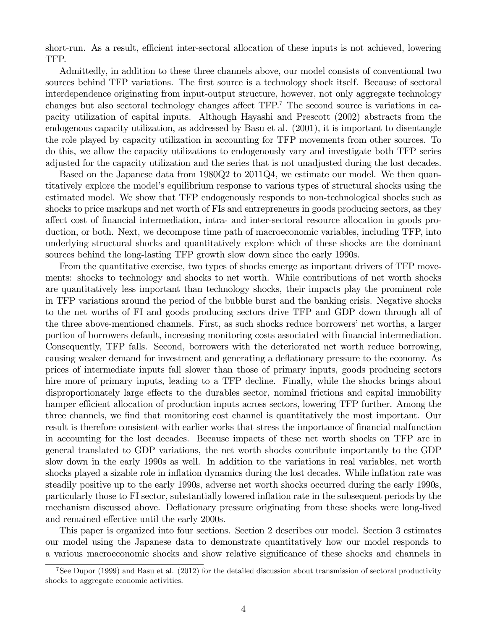short-run. As a result, efficient inter-sectoral allocation of these inputs is not achieved, lowering TFP.

Admittedly, in addition to these three channels above, our model consists of conventional two sources behind TFP variations. The first source is a technology shock itself. Because of sectoral interdependence originating from input-output structure, however, not only aggregate technology changes but also sectoral technology changes affect  $TFP$ .<sup>7</sup> The second source is variations in capacity utilization of capital inputs. Although Hayashi and Prescott (2002) abstracts from the endogenous capacity utilization, as addressed by Basu et al. (2001), it is important to disentangle the role played by capacity utilization in accounting for TFP movements from other sources. To do this, we allow the capacity utilizations to endogenously vary and investigate both TFP series adjusted for the capacity utilization and the series that is not unadjusted during the lost decades.

Based on the Japanese data from 1980Q2 to 2011Q4, we estimate our model. We then quantitatively explore the modelís equilibrium response to various types of structural shocks using the estimated model. We show that TFP endogenously responds to non-technological shocks such as shocks to price markups and net worth of FIs and entrepreneurs in goods producing sectors, as they affect cost of financial intermediation, intra- and inter-sectoral resource allocation in goods production, or both. Next, we decompose time path of macroeconomic variables, including TFP, into underlying structural shocks and quantitatively explore which of these shocks are the dominant sources behind the long-lasting TFP growth slow down since the early 1990s.

From the quantitative exercise, two types of shocks emerge as important drivers of TFP movements: shocks to technology and shocks to net worth. While contributions of net worth shocks are quantitatively less important than technology shocks, their impacts play the prominent role in TFP variations around the period of the bubble burst and the banking crisis. Negative shocks to the net worths of FI and goods producing sectors drive TFP and GDP down through all of the three above-mentioned channels. First, as such shocks reduce borrowers' net worths, a larger portion of borrowers default, increasing monitoring costs associated with financial intermediation. Consequently, TFP falls. Second, borrowers with the deteriorated net worth reduce borrowing, causing weaker demand for investment and generating a deflationary pressure to the economy. As prices of intermediate inputs fall slower than those of primary inputs, goods producing sectors hire more of primary inputs, leading to a TFP decline. Finally, while the shocks brings about disproportionately large effects to the durables sector, nominal frictions and capital immobility hamper efficient allocation of production inputs across sectors, lowering TFP further. Among the three channels, we find that monitoring cost channel is quantitatively the most important. Our result is therefore consistent with earlier works that stress the importance of financial malfunction in accounting for the lost decades. Because impacts of these net worth shocks on TFP are in general translated to GDP variations, the net worth shocks contribute importantly to the GDP slow down in the early 1990s as well. In addition to the variations in real variables, net worth shocks played a sizable role in inflation dynamics during the lost decades. While inflation rate was steadily positive up to the early 1990s, adverse net worth shocks occurred during the early 1990s, particularly those to FI sector, substantially lowered ináation rate in the subsequent periods by the mechanism discussed above. Deflationary pressure originating from these shocks were long-lived and remained effective until the early 2000s.

This paper is organized into four sections. Section 2 describes our model. Section 3 estimates our model using the Japanese data to demonstrate quantitatively how our model responds to a various macroeconomic shocks and show relative significance of these shocks and channels in

<sup>7</sup>See Dupor (1999) and Basu et al. (2012) for the detailed discussion about transmission of sectoral productivity shocks to aggregate economic activities.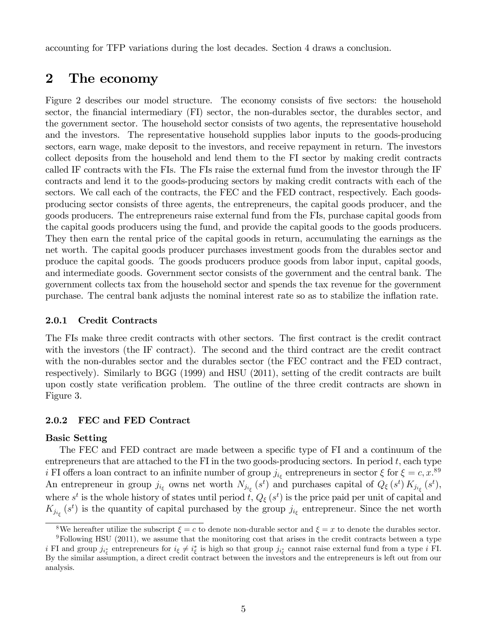accounting for TFP variations during the lost decades. Section 4 draws a conclusion.

# 2 The economy

Figure 2 describes our model structure. The economy consists of five sectors: the household sector, the financial intermediary (FI) sector, the non-durables sector, the durables sector, and the government sector. The household sector consists of two agents, the representative household and the investors. The representative household supplies labor inputs to the goods-producing sectors, earn wage, make deposit to the investors, and receive repayment in return. The investors collect deposits from the household and lend them to the FI sector by making credit contracts called IF contracts with the FIs. The FIs raise the external fund from the investor through the IF contracts and lend it to the goods-producing sectors by making credit contracts with each of the sectors. We call each of the contracts, the FEC and the FED contract, respectively. Each goodsproducing sector consists of three agents, the entrepreneurs, the capital goods producer, and the goods producers. The entrepreneurs raise external fund from the FIs, purchase capital goods from the capital goods producers using the fund, and provide the capital goods to the goods producers. They then earn the rental price of the capital goods in return, accumulating the earnings as the net worth. The capital goods producer purchases investment goods from the durables sector and produce the capital goods. The goods producers produce goods from labor input, capital goods, and intermediate goods. Government sector consists of the government and the central bank. The government collects tax from the household sector and spends the tax revenue for the government purchase. The central bank adjusts the nominal interest rate so as to stabilize the inflation rate.

### 2.0.1 Credit Contracts

The FIs make three credit contracts with other sectors. The first contract is the credit contract with the investors (the IF contract). The second and the third contract are the credit contract with the non-durables sector and the durables sector (the FEC contract and the FED contract, respectively). Similarly to BGG (1999) and HSU (2011), setting of the credit contracts are built upon costly state verification problem. The outline of the three credit contracts are shown in Figure 3.

### 2.0.2 FEC and FED Contract

#### Basic Setting

The FEC and FED contract are made between a specific type of FI and a continuum of the entrepreneurs that are attached to the FI in the two goods-producing sectors. In period  $t$ , each type i FI offers a loan contract to an infinite number of group  $j_{i_{\xi}}$  entrepreneurs in sector  $\xi$  for  $\xi = c, x$ .<sup>89</sup> An entrepreneur in group  $j_{i_{\xi}}$  owns net worth  $N_{j_{i_{\xi}}}(s^t)$  and purchases capital of  $Q_{\xi}(s^t) K_{j_{i_{\xi}}}(s^t)$ , where  $s^t$  is the whole history of states until period  $t$ ,  $Q_{\xi}(s^t)$  is the price paid per unit of capital and  $K_{j_{i_{\xi}}}(s^t)$  is the quantity of capital purchased by the group  $j_{i_{\xi}}$  entrepreneur. Since the net worth

<sup>&</sup>lt;sup>8</sup>We hereafter utilize the subscript  $\xi = c$  to denote non-durable sector and  $\xi = x$  to denote the durables sector.  $9F0$ llowing HSU (2011), we assume that the monitoring cost that arises in the credit contracts between a type

i FI and group  $j_{i_{\xi}^{*}}$  entrepreneurs for  $i_{\xi} \neq i_{\xi}^{*}$  is high so that group  $j_{i_{\xi}^{*}}$  cannot raise external fund from a type i FI. By the similar assumption, a direct credit contract between the investors and the entrepreneurs is left out from our analysis.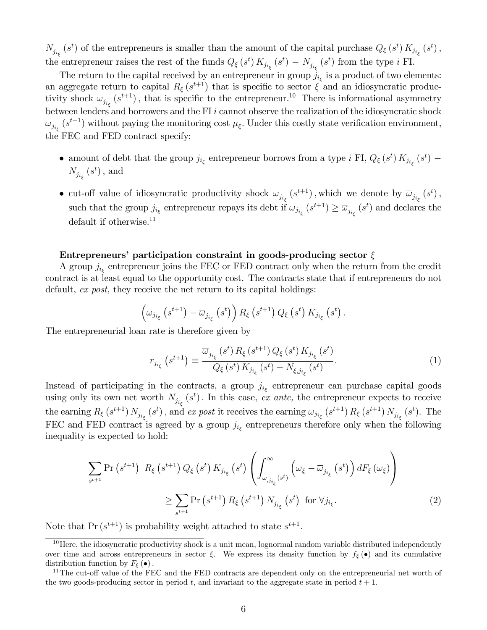$N_{j_{i_{\xi}}}(s^t)$  of the entrepreneurs is smaller than the amount of the capital purchase  $Q_{\xi}(s^t) K_{j_{i_{\xi}}}(s^t)$ , the entrepreneur raises the rest of the funds  $Q_{\xi}(s^t) K_{j_{i_{\xi}}}(s^t) - N_{j_{i_{\xi}}}(s^t)$  from the type *i* FI.

The return to the capital received by an entrepreneur in group  $j_{i_{\xi}}$  is a product of two elements: an aggregate return to capital  $R_{\xi}(s^{t+1})$  that is specific to sector  $\xi$  and an idiosyncratic productivity shock  $\omega_{j_{i_{\xi}}}(s^{t+1})$ , that is specific to the entrepreneur.<sup>10</sup> There is informational asymmetry between lenders and borrowers and the FI  $i$  cannot observe the realization of the idiosyncratic shock  $\omega_{j_{i_{\xi}}}(s^{t+1})$  without paying the monitoring cost  $\mu_{\xi}$ . Under this costly state verification environment, the FEC and FED contract specify:

- amount of debt that the group  $j_{i_{\xi}}$  entrepreneur borrows from a type i FI,  $Q_{\xi}(s^t) K_{j_{i_{\xi}}}(s^t)$   $N_{j_{i_{\xi}}}(s^t)$ , and
- cut-off value of idiosyncratic productivity shock  $\omega_{j_{i_{\xi}}}(s^{t+1})$ , which we denote by  $\overline{\omega}_{j_{i_{\xi}}}(s^t)$ , such that the group  $j_{i_{\xi}}$  entrepreneur repays its debt if  $\omega_{j_{i_{\xi}}}(s^{t+1}) \ge \overline{\omega}_{j_{i_{\xi}}}(s^t)$  and declares the default if otherwise. $11$

#### Entrepreneurs' participation constraint in goods-producing sector  $\xi$

A group  $j_{i_{\xi}}$  entrepreneur joins the FEC or FED contract only when the return from the credit contract is at least equal to the opportunity cost. The contracts state that if entrepreneurs do not default, ex post, they receive the net return to its capital holdings:

$$
\left(\omega_{j_{i_{\xi}}}\left(s^{t+1}\right)-\overline{\omega}_{j_{i_{\xi}}}\left(s^{t}\right)\right)R_{\xi}\left(s^{t+1}\right)Q_{\xi}\left(s^{t}\right)K_{j_{i_{\xi}}}\left(s^{t}\right).
$$

The entrepreneurial loan rate is therefore given by

$$
r_{j_{i_{\xi}}}\left(s^{t+1}\right) \equiv \frac{\overline{\omega}_{j_{i_{\xi}}}\left(s^{t}\right)R_{\xi}\left(s^{t+1}\right)Q_{\xi}\left(s^{t}\right)K_{j_{i_{\xi}}}\left(s^{t}\right)}{Q_{\xi}\left(s^{t}\right)K_{j_{i_{\xi}}}\left(s^{t}\right) - N_{\xi,j_{i_{\xi}}}\left(s^{t}\right)}.
$$
\n(1)

Instead of participating in the contracts, a group  $j_{i_{\xi}}$  entrepreneur can purchase capital goods using only its own net worth  $N_{j_{i_{\xi}}}(s^{t})$ . In this case, ex ante, the entrepreneur expects to receive the earning  $R_{\xi}(s^{t+1}) N_{j_{i_{\xi}}}(s^t)$ , and ex post it receives the earning  $\omega_{j_{i_{\xi}}}(s^{t+1}) R_{\xi}(s^{t+1}) N_{j_{i_{\xi}}}(s^t)$ . The FEC and FED contract is agreed by a group  $j_{i_{\xi}}$  entrepreneurs therefore only when the following inequality is expected to hold:

$$
\sum_{s^{t+1}} \Pr\left(s^{t+1}\right) R_{\xi}\left(s^{t+1}\right) Q_{\xi}\left(s^{t}\right) K_{j_{i_{\xi}}}\left(s^{t}\right) \left(\int_{\overline{\omega}_{,j_{i_{\xi}}}\left(s^{t}\right)}^{\infty}\left(\omega_{\xi} - \overline{\omega}_{j_{i_{\xi}}}\left(s^{t}\right)\right) dF_{\xi}\left(\omega_{\xi}\right) \right) \ge \sum_{s^{t+1}} \Pr\left(s^{t+1}\right) R_{\xi}\left(s^{t+1}\right) N_{j_{i_{\xi}}}\left(s^{t}\right) \text{ for } \forall j_{i_{\xi}}.\tag{2}
$$

Note that  $Pr(s^{t+1})$  is probability weight attached to state  $s^{t+1}$ .

 $10$  Here, the idiosyncratic productivity shock is a unit mean, lognormal random variable distributed independently over time and across entrepreneurs in sector  $\xi$ . We express its density function by  $f_{\xi}(\bullet)$  and its cumulative distribution function by  $F_{\xi}(\bullet)$ .

 $11$ The cut-off value of the FEC and the FED contracts are dependent only on the entrepreneurial net worth of the two goods-producing sector in period t, and invariant to the aggregate state in period  $t + 1$ .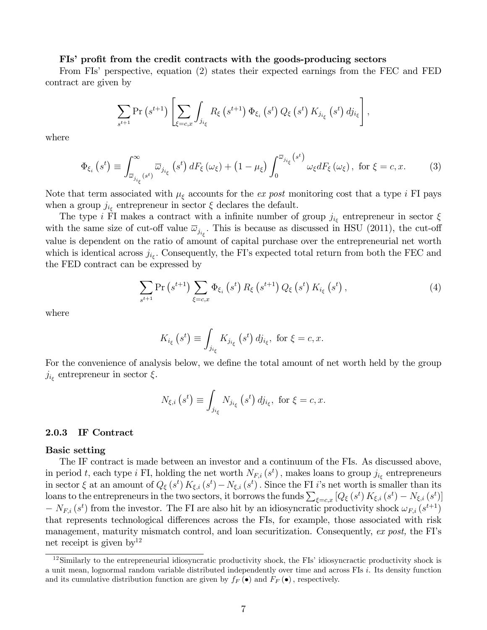#### FIs' profit from the credit contracts with the goods-producing sectors

From FIs' perspective, equation (2) states their expected earnings from the FEC and FED contract are given by

$$
\sum_{s^{t+1}} \Pr\left(s^{t+1}\right) \left[ \sum_{\xi=c,x} \int_{j_{i_{\xi}}} R_{\xi}\left(s^{t+1}\right) \Phi_{\xi_i}\left(s^{t}\right) Q_{\xi}\left(s^{t}\right) K_{j_{i_{\xi}}}\left(s^{t}\right) dj_{i_{\xi}} \right],
$$

where

$$
\Phi_{\xi_i}\left(s^t\right) \equiv \int_{\overline{\omega}_{j_{i_\xi}}\left(s^t\right)}^{\infty} \overline{\omega}_{j_{i_\xi}}\left(s^t\right) dF_{\xi}\left(\omega_{\xi}\right) + \left(1 - \mu_{\xi}\right) \int_0^{\overline{\omega}_{j_{i_\xi}}\left(s^t\right)} \omega_{\xi} dF_{\xi}\left(\omega_{\xi}\right), \text{ for } \xi = c, x. \tag{3}
$$

Note that term associated with  $\mu_{\xi}$  accounts for the *ex post* monitoring cost that a type *i* FI pays when a group  $j_{i_{\xi}}$  entrepreneur in sector  $\xi$  declares the default.

The type i FI makes a contract with a infinite number of group  $j_{i_{\xi}}$  entrepreneur in sector  $\xi$ with the same size of cut-off value  $\overline{\omega}_{j_{i_{\xi}}}$ . This is because as discussed in HSU (2011), the cut-off value is dependent on the ratio of amount of capital purchase over the entrepreneurial net worth which is identical across  $j_{i_{\xi}}$ . Consequently, the FI's expected total return from both the FEC and the FED contract can be expressed by

$$
\sum_{s^{t+1}} \Pr\left(s^{t+1}\right) \sum_{\xi=c,x} \Phi_{\xi_i}\left(s^t\right) R_{\xi}\left(s^{t+1}\right) Q_{\xi}\left(s^t\right) K_{i_{\xi}}\left(s^t\right),\tag{4}
$$

where

$$
K_{i_{\xi}}\left(s^{t}\right) \equiv \int_{j_{i_{\xi}}} K_{j_{i_{\xi}}}\left(s^{t}\right) d j_{i_{\xi}}, \text{ for } \xi = c, x.
$$

For the convenience of analysis below, we define the total amount of net worth held by the group  $j_{i_{\xi}}$  entrepreneur in sector  $\xi$ .

$$
N_{\xi,i}\left(s^{t}\right) \equiv \int_{j_{i_{\xi}}} N_{j_{i_{\xi}}}\left(s^{t}\right) d j_{i_{\xi}}, \text{ for } \xi = c, x.
$$

#### 2.0.3 IF Contract

#### Basic setting

The IF contract is made between an investor and a continuum of the FIs. As discussed above, in period t, each type i FI, holding the net worth  $N_{F,i}(s^t)$ , makes loans to group  $j_{i_{\xi}}$  entrepreneurs in sector  $\xi$  at an amount of  $Q_{\xi}(s^t) K_{\xi,i}(s^t) - N_{\xi,i}(s^t)$ . Since the FI i's net worth is smaller than its loans to the entrepreneurs in the two sectors, it borrows the funds  $\sum_{\xi=c,x} [Q_{\xi}(s^t) K_{\xi,i}(s^t) - N_{\xi,i}(s^t)]$  $-N_{F,i}(s^t)$  from the investor. The FI are also hit by an idiosyncratic productivity shock  $\omega_{F,i}(s^{t+1})$ that represents technological differences across the FIs, for example, those associated with risk management, maturity mismatch control, and loan securitization. Consequently, ex post, the FI's net receipt is given  $by^{12}$ 

 $12$ Similarly to the entrepreneurial idiosyncratic productivity shock, the FIs' idiosyncractic productivity shock is a unit mean, lognormal random variable distributed independently over time and across FIs i. Its density function and its cumulative distribution function are given by  $f_F(\bullet)$  and  $F_F(\bullet)$ , respectively.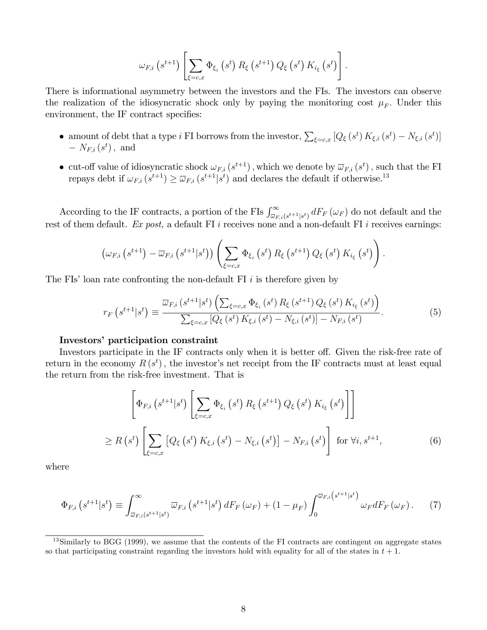$$
\omega_{F,i}\left(s^{t+1}\right)\left[\sum_{\xi=c,x}\Phi_{\xi_i}\left(s^t\right)R_{\xi}\left(s^{t+1}\right)Q_{\xi}\left(s^t\right)K_{i_{\xi}}\left(s^t\right)\right].
$$

There is informational asymmetry between the investors and the FIs. The investors can observe the realization of the idiosyncratic shock only by paying the monitoring cost  $\mu_F$ . Under this environment, the IF contract specifies:

- amount of debt that a type i FI borrows from the investor,  $\sum_{\xi=c,x} [Q_{\xi}(s^t) K_{\xi,i}(s^t) N_{\xi,i}(s^t)]$  $-N_{F,i}(s^t)$ , and
- cut-off value of idiosyncratic shock  $\omega_{F,i}(s^{t+1})$ , which we denote by  $\overline{\omega}_{F,i}(s^t)$ , such that the FI repays debt if  $\omega_{F,i} (s^{t+1}) \ge \overline{\omega}_{F,i} (s^{t+1}|s^t)$  and declares the default if otherwise.<sup>13</sup>

According to the IF contracts, a portion of the FIs  $\int_{\overline{\omega}_{F,i}(s^{t+1}|s^t)}^{\infty} dF_F(\omega_F)$  do not default and the rest of them default. Ex post, a default FI i receives none and a non-default FI i receives earnings:

$$
\left(\omega_{F,i}\left(s^{t+1}\right)-\overline{\omega}_{F,i}\left(s^{t+1}|s^{t}\right)\right)\left(\sum_{\xi=c,x}\Phi_{\xi_{i}}\left(s^{t}\right)R_{\xi}\left(s^{t+1}\right)Q_{\xi}\left(s^{t}\right)K_{i_{\xi}}\left(s^{t}\right)\right).
$$

The FIs' loan rate confronting the non-default FI  $i$  is therefore given by

$$
r_{F}\left(s^{t+1}|s^{t}\right) \equiv \frac{\overline{\omega}_{F,i}\left(s^{t+1}|s^{t}\right)\left(\sum_{\xi=c,x}\Phi_{\xi_{i}}\left(s^{t}\right)R_{\xi}\left(s^{t+1}\right)Q_{\xi}\left(s^{t}\right)K_{i_{\xi}}\left(s^{t}\right)\right)}{\sum_{\xi=c,x}\left[Q_{\xi}\left(s^{t}\right)K_{\xi,i}\left(s^{t}\right)-N_{\xi,i}\left(s^{t}\right)\right]-N_{F,i}\left(s^{t}\right)}.
$$
\n(5)

### Investors' participation constraint

Investors participate in the IF contracts only when it is better off. Given the risk-free rate of return in the economy  $R(s^t)$ , the investor's net receipt from the IF contracts must at least equal the return from the risk-free investment. That is

$$
\left[\Phi_{F,i}\left(s^{t+1}|s^t\right)\left[\sum_{\xi=c,x}\Phi_{\xi_i}\left(s^t\right)R_{\xi}\left(s^{t+1}\right)Q_{\xi}\left(s^t\right)K_{i_{\xi}}\left(s^t\right)\right]\right]
$$
\n
$$
\geq R\left(s^t\right)\left[\sum_{\xi=c,x}\left[Q_{\xi}\left(s^t\right)K_{\xi,i}\left(s^t\right)-N_{\xi,i}\left(s^t\right)\right]-N_{F,i}\left(s^t\right)\right] \text{ for } \forall i,s^{t+1},\tag{6}
$$

where

$$
\Phi_{F,i}\left(s^{t+1}|s^t\right) \equiv \int_{\overline{\omega}_{F,i}\left(s^{t+1}|s^t\right)}^{\infty} \overline{\omega}_{F,i}\left(s^{t+1}|s^t\right) dF_F\left(\omega_F\right) + \left(1 - \mu_F\right) \int_0^{\overline{\omega}_{F,i}\left(s^{t+1}|s^t\right)} \omega_F dF_F\left(\omega_F\right). \tag{7}
$$

 $13$ Similarly to BGG (1999), we assume that the contents of the FI contracts are contingent on aggregate states so that participating constraint regarding the investors hold with equality for all of the states in  $t + 1$ .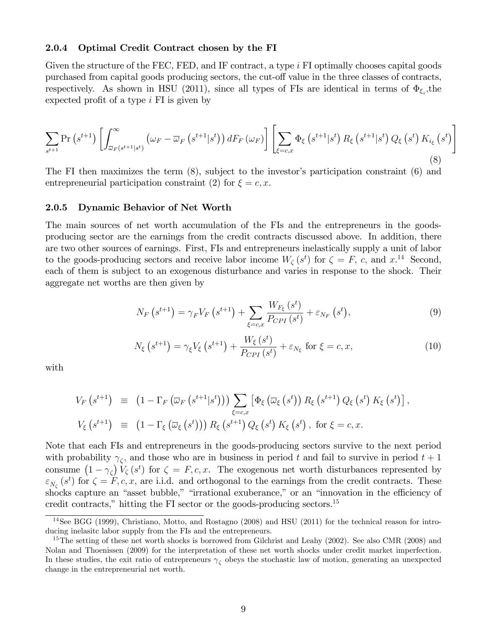#### 2.0.4 Optimal Credit Contract chosen by the FI

Given the structure of the FEC, FED, and IF contract, a type i FI optimally chooses capital goods purchased from capital goods producing sectors, the cut-off value in the three classes of contracts, respectively. As shown in HSU (2011), since all types of FIs are identical in terms of  $\Phi_{\xi_i}$ , the expected profit of a type  $i$  FI is given by

$$
\sum_{s^{t+1}} \Pr\left(s^{t+1}\right) \left[ \int_{\overline{\omega}_F\left(s^{t+1}|s^t\right)}^{\infty} \left(\omega_F - \overline{\omega}_F\left(s^{t+1}|s^t\right)\right) dF_F\left(\omega_F\right) \right] \left[ \sum_{\xi=c,x} \Phi_{\xi}\left(s^{t+1}|s^t\right) R_{\xi}\left(s^{t+1}|s^t\right) Q_{\xi}\left(s^t\right) K_{i_{\xi}}\left(s^t\right) \right] \tag{8}
$$

The FI then maximizes the term  $(8)$ , subject to the investor's participation constraint  $(6)$  and entrepreneurial participation constraint (2) for  $\xi = c, x$ .

#### 2.0.5 Dynamic Behavior of Net Worth

The main sources of net worth accumulation of the FIs and the entrepreneurs in the goodsproducing sector are the earnings from the credit contracts discussed above. In addition, there are two other sources of earnings. First, FIs and entrepreneurs inelastically supply a unit of labor to the goods-producing sectors and receive labor income  $W_{\zeta}(s^t)$  for  $\zeta = F$ , c, and  $x^{14}$ . Second, each of them is subject to an exogenous disturbance and varies in response to the shock. Their aggregate net worths are then given by

$$
N_F\left(s^{t+1}\right) = \gamma_F V_F\left(s^{t+1}\right) + \sum_{\xi=c,x} \frac{W_{F_{\xi}}\left(s^t\right)}{P_{CPI}\left(s^t\right)} + \varepsilon_{N_F}\left(s^t\right),\tag{9}
$$

$$
N_{\xi}\left(s^{t+1}\right) = \gamma_{\xi}V_{\xi}\left(s^{t+1}\right) + \frac{W_{\xi}\left(s^{t}\right)}{P_{CPI}\left(s^{t}\right)} + \varepsilon_{N_{\xi}}\text{ for }\xi = c, x,\tag{10}
$$

with

$$
V_F\left(s^{t+1}\right) \equiv \left(1 - \Gamma_F\left(\overline{\omega}_F\left(s^{t+1}|s^t\right)\right)\right) \sum_{\xi=c,x} \left[\Phi_{\xi}\left(\overline{\omega}_{\xi}\left(s^t\right)\right) R_{\xi}\left(s^{t+1}\right) Q_{\xi}\left(s^t\right) K_{\xi}\left(s^t\right)\right],
$$
  

$$
V_{\xi}\left(s^{t+1}\right) \equiv \left(1 - \Gamma_{\xi}\left(\overline{\omega}_{\xi}\left(s^t\right)\right)\right) R_{\xi}\left(s^{t+1}\right) Q_{\xi}\left(s^t\right) K_{\xi}\left(s^t\right), \text{ for } \xi = c, x.
$$

Note that each FIs and entrepreneurs in the goods-producing sectors survive to the next period with probability  $\gamma_{\zeta}$ , and those who are in business in period t and fail to survive in period  $t+1$ consume  $(1 - \gamma_{\zeta}) V_{\zeta}(s^t)$  for  $\zeta = F, c, x$ . The exogenous net worth disturbances represented by  $\varepsilon_{N_{\zeta}}(s^t)$  for  $\zeta = F, c, x$ , are i.i.d. and orthogonal to the earnings from the credit contracts. These shocks capture an "asset bubble," "irrational exuberance," or an "innovation in the efficiency of credit contracts," hitting the FI sector or the goods-producing sectors.<sup>15</sup>

<sup>14</sup>See BGG (1999), Christiano, Motto, and Rostagno (2008) and HSU (2011) for the technical reason for introducing inelasitc labor supply from the FIs and the entrepreneurs.

<sup>&</sup>lt;sup>15</sup>The setting of these net worth shocks is borrowed from Gilchrist and Leahy (2002). See also CMR (2008) and Nolan and Thoenissen (2009) for the interpretation of these net worth shocks under credit market imperfection. In these studies, the exit ratio of entrepreneurs  $\gamma_{\zeta}$  obeys the stochastic law of motion, generating an unexpected change in the entrepreneurial net worth.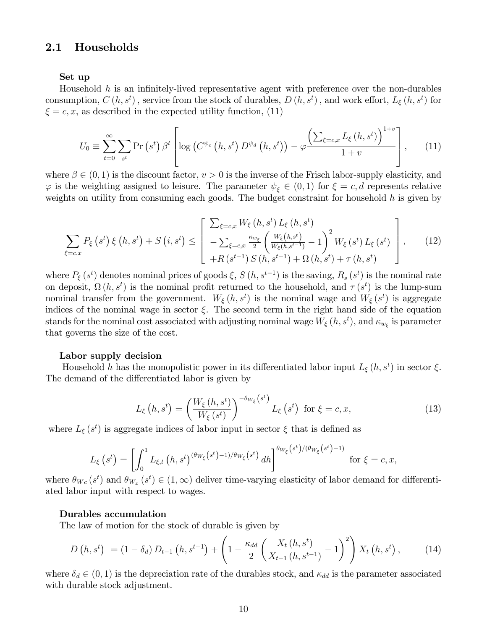### 2.1 Households

#### Set up

Household  $h$  is an infinitely-lived representative agent with preference over the non-durables consumption,  $C(h, s^t)$ , service from the stock of durables,  $D(h, s^t)$ , and work effort,  $L_{\xi}(h, s^t)$  for  $\xi = c, x$ , as described in the expected utility function, (11)

$$
U_0 \equiv \sum_{t=0}^{\infty} \sum_{s^t} \Pr\left(s^t\right) \beta^t \left[ \log\left(C^{\psi_c}\left(h, s^t\right) D^{\psi_d}\left(h, s^t\right)\right) - \varphi \frac{\left(\sum_{\xi=c, x} L_{\xi}\left(h, s^t\right)\right)^{1+v}}{1+v} \right],\tag{11}
$$

where  $\beta \in (0,1)$  is the discount factor,  $v > 0$  is the inverse of the Frisch labor-supply elasticity, and  $\varphi$  is the weighting assigned to leisure. The parameter  $\psi_{\xi} \in (0,1)$  for  $\xi = c, d$  represents relative weights on utility from consuming each goods. The budget constraint for household  $h$  is given by

$$
\sum_{\xi=c,x} P_{\xi}(s^{t}) \xi(h,s^{t}) + S(i,s^{t}) \leq \left[ \frac{\sum_{\xi=c,x} W_{\xi}(h,s^{t}) L_{\xi}(h,s^{t})}{-\sum_{\xi=c,x} \frac{\kappa_{w_{\xi}}}{2} \left( \frac{W_{\xi}(h,s^{t})}{W_{\xi}(h,s^{t-1})} - 1 \right)^{2} W_{\xi}(s^{t}) L_{\xi}(s^{t})} \right],
$$
(12)

where  $P_{\xi}(s^t)$  denotes nominal prices of goods  $\xi$ ,  $S(h, s^{t-1})$  is the saving,  $R_s(s^t)$  is the nominal rate on deposit,  $\Omega(h, s^t)$  is the nominal profit returned to the household, and  $\tau(s^t)$  is the lump-sum nominal transfer from the government.  $W_{\xi}(h, s^t)$  is the nominal wage and  $W_{\xi}(s^t)$  is aggregate indices of the nominal wage in sector  $\xi$ . The second term in the right hand side of the equation stands for the nominal cost associated with adjusting nominal wage  $W_{\xi}(h, s^t)$ , and  $\kappa_{w_{\xi}}$  is parameter that governs the size of the cost.

#### Labor supply decision

Household h has the monopolistic power in its differentiated labor input  $L_{\xi}(h, s^t)$  in sector  $\xi$ . The demand of the differentiated labor is given by

$$
L_{\xi}\left(h,s^{t}\right) = \left(\frac{W_{\xi}\left(h,s^{t}\right)}{W_{\xi}\left(s^{t}\right)}\right)^{-\theta_{W_{\xi}}\left(s^{t}\right)} L_{\xi}\left(s^{t}\right) \text{ for } \xi = c,x,\tag{13}
$$

where  $L_{\xi}(s^{t})$  is aggregate indices of labor input in sector  $\xi$  that is defined as

$$
L_{\xi}\left(s^{t}\right) = \left[\int_{0}^{1} L_{\xi,t}\left(h,s^{t}\right)^{(\theta_{W_{\xi}}\left(s^{t}\right)-1)/\theta_{W_{\xi}}\left(s^{t}\right)}dh\right]^{\theta_{W_{\xi}}\left(s^{t}\right)/(\theta_{W_{\xi}}\left(s^{t}\right)-1)} \text{ for } \xi = c,x,
$$

where  $\theta_{Wc}(s^t)$  and  $\theta_{W_x}(s^t) \in (1,\infty)$  deliver time-varying elasticity of labor demand for differentiated labor input with respect to wages.

#### Durables accumulation

The law of motion for the stock of durable is given by

$$
D\left(h, s^{t}\right) = (1 - \delta_{d}) D_{t-1} \left(h, s^{t-1}\right) + \left(1 - \frac{\kappa_{dd}}{2} \left(\frac{X_{t} \left(h, s^{t}\right)}{X_{t-1} \left(h, s^{t-1}\right)} - 1\right)^{2}\right) X_{t} \left(h, s^{t}\right), \tag{14}
$$

where  $\delta_d \in (0, 1)$  is the depreciation rate of the durables stock, and  $\kappa_{dd}$  is the parameter associated with durable stock adjustment.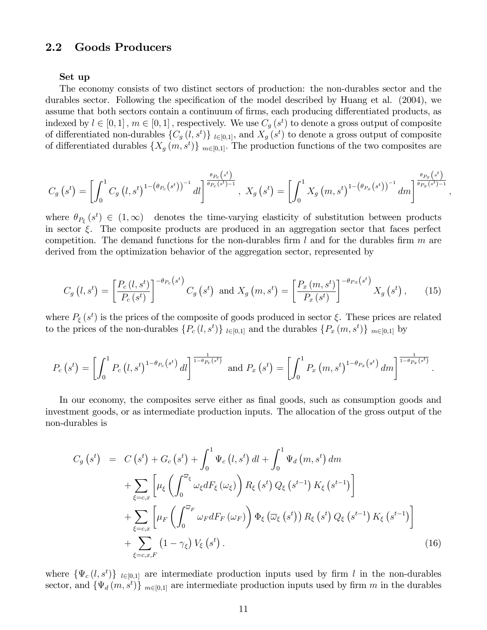### 2.2 Goods Producers

#### Set up

The economy consists of two distinct sectors of production: the non-durables sector and the durables sector. Following the specification of the model described by Huang et al.  $(2004)$ , we assume that both sectors contain a continuum of firms, each producing differentiated products, as indexed by  $l \in [0, 1]$ ,  $m \in [0, 1]$ , respectively. We use  $C_g(s^t)$  to denote a gross output of composite of differentiated non-durables  $\{C_g(l, s^t)\}\|_{l\in[0,1]},$  and  $X_g(s^t)$  to denote a gross output of composite of differentiated durables  $\{X_g(m, s^t)\}\vert_{m\in[0,1]}$ . The production functions of the two composites are

$$
C_g\left(s^t\right) = \left[\int_0^1 C_g\left(l, s^t\right)^{1 - \left(\theta_{P_c}\left(s^t\right)\right)^{-1}} dl\right]^{\frac{\theta_{P_c}\left(s^t\right)}{\theta_{P_c}\left(s^t\right) - 1}}, \ X_g\left(s^t\right) = \left[\int_0^1 X_g\left(m, s^t\right)^{1 - \left(\theta_{P_x}\left(s^t\right)\right)^{-1}} dm\right]^{\frac{\theta_{P_x}\left(s^t\right)}{\theta_{P_x}\left(s^t\right) - 1}}
$$

;

where  $\theta_{P_{\xi}}(s^t) \in (1,\infty)$  denotes the time-varying elasticity of substitution between products in sector  $\xi$ . The composite products are produced in an aggregation sector that faces perfect competition. The demand functions for the non-durables firm  $l$  and for the durables firm  $m$  are derived from the optimization behavior of the aggregation sector, represented by

$$
C_g\left(l, s^t\right) = \left[\frac{P_c\left(l, s^t\right)}{P_c\left(s^t\right)}\right]^{-\theta_{P_c}\left(s^t\right)} C_g\left(s^t\right) \text{ and } X_g\left(m, s^t\right) = \left[\frac{P_x\left(m, s^t\right)}{P_x\left(s^t\right)}\right]^{-\theta_{P_x}\left(s^t\right)} X_g\left(s^t\right),\tag{15}
$$

where  $P_{\xi}(s^{t})$  is the prices of the composite of goods produced in sector  $\xi$ . These prices are related to the prices of the non-durables  $\{P_c(l, s^t)\}\|_{l\in[0,1]}$  and the durables  $\{P_x(m, s^t)\}\|_{m\in[0,1]}$  by

$$
P_c\left(s^t\right) = \left[\int_0^1 P_c\left(l, s^t\right)^{1-\theta_{P_c}\left(s^t\right)} dl\right]^{\frac{1}{1-\theta_{P_c}\left(s^t\right)}} \text{ and } P_x\left(s^t\right) = \left[\int_0^1 P_x\left(m, s^t\right)^{1-\theta_{P_x}\left(s^t\right)} dm\right]^{\frac{1}{1-\theta_{P_x}\left(s^t\right)}}.
$$

In our economy, the composites serve either as final goods, such as consumption goods and investment goods, or as intermediate production inputs. The allocation of the gross output of the non-durables is

$$
C_g(s^t) = C(s^t) + G_c(s^t) + \int_0^1 \Psi_c(t, s^t) dt + \int_0^1 \Psi_d(m, s^t) dm
$$
  
+ 
$$
\sum_{\xi=c,x} \left[ \mu_{\xi} \left( \int_0^{\overline{\omega}_{\xi}} \omega_{\xi} dF_{\xi}(\omega_{\xi}) \right) R_{\xi}(s^t) Q_{\xi}(s^{t-1}) K_{\xi}(s^{t-1}) \right]
$$
  
+ 
$$
\sum_{\xi=c,x} \left[ \mu_F \left( \int_0^{\overline{\omega}_F} \omega_F dF_F(\omega_F) \right) \Phi_{\xi}(\overline{\omega}_{\xi}(s^t)) R_{\xi}(s^t) Q_{\xi}(s^{t-1}) K_{\xi}(s^{t-1}) \right]
$$
  
+ 
$$
\sum_{\xi=c,x,F} (1 - \gamma_{\xi}) V_{\xi}(s^t).
$$
(16)

where  $\{\Psi_c(l, s^t)\}\$  lelest are intermediate production inputs used by firm l in the non-durables sector, and  $\{\Psi_d(m, s^t)\}\vert_{m\in[0,1]}$  are intermediate production inputs used by firm m in the durables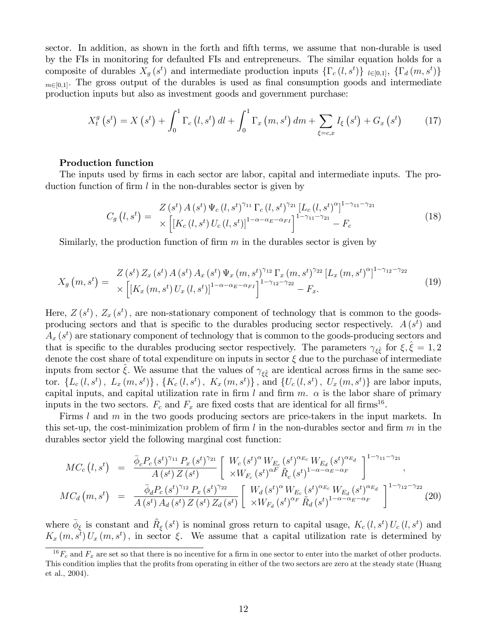sector. In addition, as shown in the forth and fifth terms, we assume that non-durable is used by the FIs in monitoring for defaulted FIs and entrepreneurs. The similar equation holds for a composite of durables  $X_g(s^t)$  and intermediate production inputs  $\{\Gamma_c(l,s^t)\}\;_{l\in[0,1]},\;\{\Gamma_d(m,s^t)\}\;$  $_{m\in[0,1]}$ . The gross output of the durables is used as final consumption goods and intermediate production inputs but also as investment goods and government purchase:

$$
X_{t}^{g}(s^{t}) = X(s^{t}) + \int_{0}^{1} \Gamma_{c}(l, s^{t}) dl + \int_{0}^{1} \Gamma_{x}(m, s^{t}) dm + \sum_{\xi = c, x} I_{\xi}(s^{t}) + G_{x}(s^{t}) \qquad (17)
$$

#### Production function

The inputs used by firms in each sector are labor, capital and intermediate inputs. The production function of firm  $l$  in the non-durables sector is given by

$$
C_g(l, s^t) = \frac{Z(s^t) A(s^t) \Psi_c(l, s^t)^{\gamma_{11}} \Gamma_c(l, s^t)^{\gamma_{21}} [L_c(l, s^t)^{\alpha}]^{1-\gamma_{11}-\gamma_{21}}}{\times \left[ [K_c(l, s^t) U_c(l, s^t)]^{1-\alpha-\alpha_E-\alpha_{FI}} \right]^{1-\gamma_{11}-\gamma_{21}} - F_c}
$$
(18)

Similarly, the production function of firm  $m$  in the durables sector is given by

$$
X_g\left(m, s^t\right) = \frac{Z\left(s^t\right)Z_x\left(s^t\right)A\left(s^t\right)A_x\left(s^t\right)\Psi_x\left(m, s^t\right)^{\gamma_{12}}\Gamma_x\left(m, s^t\right)^{\gamma_{22}}\left[L_x\left(m, s^t\right)^{\alpha}\right]^{1-\gamma_{12}-\gamma_{22}}}{\times\left[\left[K_x\left(m, s^t\right)U_x\left(l, s^t\right)\right]^{1-\alpha-\alpha_E-\alpha_{FI}}\right]^{1-\gamma_{12}-\gamma_{22}}-F_x}.
$$
\n(19)

Here,  $Z(s^t)$ ,  $Z_x(s^t)$ , are non-stationary component of technology that is common to the goodsproducing sectors and that is specific to the durables producing sector respectively.  $A(s^t)$  and  $A_x(s^t)$  are stationary component of technology that is common to the goods-producing sectors and that is specific to the durables producing sector respectively. The parameters  $\gamma_{\xi\hat{\xi}}$  for  $\xi, \hat{\xi} = 1, 2$ denote the cost share of total expenditure on inputs in sector  $\xi$  due to the purchase of intermediate inputs from sector  $\hat{\xi}$ . We assume that the values of  $\gamma_{\xi\hat{\xi}}$  are identical across firms in the same sector.  $\{L_c(l, s^t), L_x(m, s^t)\}, \{K_c(l, s^t), K_x(m, s^t)\}, \text{ and } \{U_c(l, s^t), U_x(m, s^t)\}\text{ are labor inputs, }$ capital inputs, and capital utilization rate in firm l and firm  $m$ .  $\alpha$  is the labor share of primary inputs in the two sectors.  $F_c$  and  $F_x$  are fixed costs that are identical for all firms<sup>16</sup>.

Firms l and m in the two goods producing sectors are price-takers in the input markets. In this set-up, the cost-minimization problem of firm l in the non-durables sector and firm  $m$  in the durables sector yield the following marginal cost function:

$$
MC_c(t,s^t) = \frac{\bar{\phi}_c P_c(s^t)^{\gamma_{11}} P_x(s^t)^{\gamma_{21}}}{A(s^t) Z(s^t)} \left[ \frac{W_c(s^t)^{\alpha} W_{E_c}(s^t)^{\alpha_{E_c}} W_{E_d}(s^t)^{\alpha_{E_d}}}{\times W_{F_c}(s^t)^{\alpha F} \tilde{R}_c(s^t)^{1-\alpha-\alpha_E-\alpha_F}} \right]^{1-\gamma_{11}-\gamma_{21}} ,
$$
  

$$
MC_d(m,s^t) = \frac{\bar{\phi}_d P_c(s^t)^{\gamma_{12}} P_x(s^t)^{\gamma_{22}}}{A(s^t) A_d(s^t) Z(s^t) Z_d(s^t)} \left[ \frac{W_d(s^t)^{\alpha} W_{E_c}(s^t)^{\alpha_{E_c}} W_{E_d}(s^t)^{\alpha_{E_d}}}{\times W_{F_d}(s^t)^{\alpha_F} \tilde{R}_d(s^t)^{1-\alpha-\alpha_E-\alpha_F}} \right]^{1-\gamma_{12}-\gamma_{22}} .
$$
 (20)

where  $\bar{\phi}_{\xi}$  is constant and  $\tilde{R}_{\xi}(s^t)$  is nominal gross return to capital usage,  $K_c(l, s^t) U_c(l, s^t)$  and  $K_x(m, s^t) U_x(m, s^t)$ , in sector  $\xi$ . We assume that a capital utilization rate is determined by

 $^{16}F_c$  and  $F_x$  are set so that there is no incentive for a firm in one sector to enter into the market of other products. This condition implies that the profits from operating in either of the two sectors are zero at the steady state (Huang et al., 2004).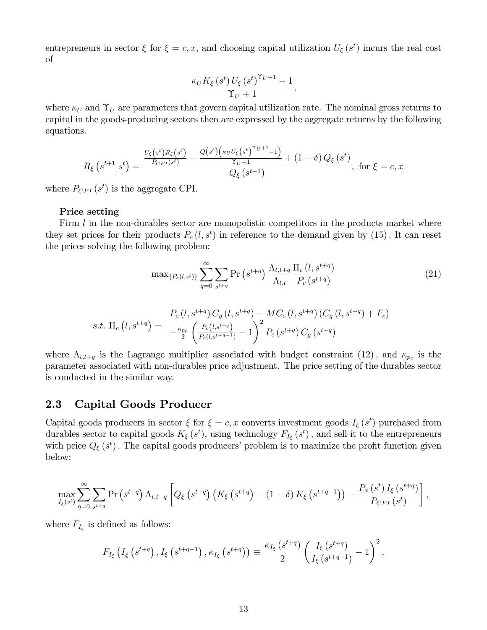entrepreneurs in sector  $\xi$  for  $\xi = c, x$ , and choosing capital utilization  $U_{\xi}(s^{t})$  incurs the real cost of

$$
\frac{\kappa_U K_{\xi}\left(s^t\right)U_{\xi}\left(s^t\right)^{\Upsilon_U+1}-1}{\Upsilon_U+1},
$$

where  $\kappa_U$  and  $\Upsilon_U$  are parameters that govern capital utilization rate. The nominal gross returns to capital in the goods-producing sectors then are expressed by the aggregate returns by the following equations.

$$
R_{\xi}\left(s^{t+1}|s^{t}\right) = \frac{\frac{U_{\xi}\left(s^{t}\right)\tilde{R}_{\xi}\left(s^{t}\right)}{P_{CPI}(s^{t})} - \frac{Q\left(s^{t}\right)\left(\kappa_{U}U_{\xi}\left(s^{t}\right)^{\Upsilon_{U}+1}-1\right)}{\Upsilon_{U}+1} + (1-\delta)Q_{\xi}\left(s^{t}\right)}{\left(Q_{\xi}\left(s^{t-1}\right), \text{ for } \xi = c, x
$$

where  $P_{CPI}(s^t)$  is the aggregate CPI.

#### Price setting

Firm  $l$  in the non-durables sector are monopolistic competitors in the products market where they set prices for their products  $P_c(l, s^t)$  in reference to the demand given by  $(15)$ . It can reset the prices solving the following problem:

$$
\max\{P_c(l,s^t)\}\sum_{q=0}^{\infty}\sum_{s^{t+q}}\Pr\left(s^{t+q}\right)\frac{\Lambda_{t,t+q}}{\Lambda_{t,t}}\frac{\Pi_c\left(l,s^{t+q}\right)}{P_c\left(s^{t+q}\right)}\tag{21}
$$

$$
s.t. \Pi_c(l, s^{t+q}) = \frac{P_c(l, s^{t+q}) C_g(l, s^{t+q}) - MC_c(l, s^{t+q}) (C_g(l, s^{t+q}) + F_c)}{-\frac{\kappa_{p_c}}{2} \left(\frac{P_c(l, s^{t+q})}{P_c(l, s^{t+q-1})} - 1\right)^2 P_c(s^{t+q}) C_g(s^{t+q})}
$$

where  $\Lambda_{t,t+q}$  is the Lagrange multiplier associated with budget constraint (12), and  $\kappa_{p_c}$  is the parameter associated with non-durables price adjustment. The price setting of the durables sector is conducted in the similar way.

### 2.3 Capital Goods Producer

Capital goods producers in sector  $\xi$  for  $\xi = c, x$  converts investment goods  $I_{\xi}(s^{t})$  purchased from durables sector to capital goods  $K_{\xi}(s^t)$ , using technology  $F_{I_{\xi}}(s^t)$ , and sell it to the entrepreneurs with price  $Q_{\xi}(s^{t})$ . The capital goods producers' problem is to maximize the profit function given below:

$$
\max_{I_{\xi}(s^{t})} \sum_{q=0}^{\infty} \sum_{s^{t+q}} \Pr\left(s^{t+q}\right) \Lambda_{t,t+q} \left[ Q_{\xi}\left(s^{t+q}\right) \left(K_{\xi}\left(s^{t+q}\right) - (1-\delta) K_{\xi}\left(s^{t+q-1}\right)\right) - \frac{P_{x}\left(s^{t}\right) I_{\xi}\left(s^{t+q}\right)}{P_{CPI}\left(s^{t}\right)} \right],
$$

where  $F_{I_{\xi}}$  is defined as follows:

$$
F_{I_{\xi}}\left(I_{\xi}\left(s^{t+q}\right), I_{\xi}\left(s^{t+q-1}\right), \kappa_{I_{\xi}}\left(s^{t+q}\right)\right) \equiv \frac{\kappa_{I_{\xi}}\left(s^{t+q}\right)}{2} \left(\frac{I_{\xi}\left(s^{t+q}\right)}{I_{\xi}\left(s^{t+q-1}\right)} - 1\right)^2,
$$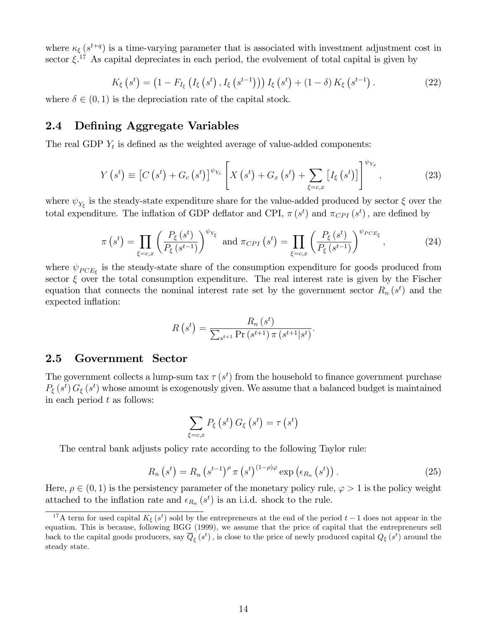where  $\kappa_{\xi}(s^{t+q})$  is a time-varying parameter that is associated with investment adjustment cost in sector  $\xi$ <sup>17</sup> As capital depreciates in each period, the evolvement of total capital is given by

$$
K_{\xi}\left(s^{t}\right) = \left(1 - F_{I_{\xi}}\left(I_{\xi}\left(s^{t}\right), I_{\xi}\left(s^{t-1}\right)\right)\right) I_{\xi}\left(s^{t}\right) + \left(1 - \delta\right) K_{\xi}\left(s^{t-1}\right). \tag{22}
$$

where  $\delta \in (0, 1)$  is the depreciation rate of the capital stock.

### 2.4 Defining Aggregate Variables

The real GDP  $Y_t$  is defined as the weighted average of value-added components:

$$
Y(s^{t}) \equiv \left[C(s^{t}) + G_{c}(s^{t})\right]^{\psi_{Y_{c}}}\left[X(s^{t}) + G_{x}(s^{t}) + \sum_{\xi = c,x}\left[I_{\xi}(s^{t})\right]\right]^{\psi_{Y_{x}}},\tag{23}
$$

where  $\psi_{Y_{\xi}}$  is the steady-state expenditure share for the value-added produced by sector  $\xi$  over the total expenditure. The inflation of GDP deflator and CPI,  $\pi(s^t)$  and  $\pi_{CPI}(s^t)$ , are defined by

$$
\pi\left(s^{t}\right) = \prod_{\xi=c,x} \left(\frac{P_{\xi}\left(s^{t}\right)}{P_{\xi}\left(s^{t-1}\right)}\right)^{\psi_{Y_{\xi}}}\text{ and }\pi_{CPI}\left(s^{t}\right) = \prod_{\xi=c,x} \left(\frac{P_{\xi}\left(s^{t}\right)}{P_{\xi}\left(s^{t-1}\right)}\right)^{\psi_{PCE_{\xi}}},\tag{24}
$$

where  $\psi_{PCE_{\xi}}$  is the steady-state share of the consumption expenditure for goods produced from sector  $\xi$  over the total consumption expenditure. The real interest rate is given by the Fischer equation that connects the nominal interest rate set by the government sector  $R_n(s^t)$  and the expected inflation:

$$
R(s^{t}) = \frac{R_{n}(s^{t})}{\sum_{s^{t+1}} \Pr(s^{t+1}) \pi(s^{t+1}|s^{t})}.
$$

### 2.5 Government Sector

The government collects a lump-sum tax  $\tau(s^t)$  from the household to finance government purchase  $P_{\xi}(s^t) G_{\xi}(s^t)$  whose amount is exogenously given. We assume that a balanced budget is maintained in each period  $t$  as follows:

$$
\sum_{\xi=c,x} P_{\xi}\left(s^{t}\right) G_{\xi}\left(s^{t}\right)=\tau\left(s^{t}\right)
$$

The central bank adjusts policy rate according to the following Taylor rule:

$$
R_n\left(s^t\right) = R_n\left(s^{t-1}\right)^{\rho} \pi\left(s^t\right)^{(1-\rho)\varphi} \exp\left(\epsilon_{R_n}\left(s^t\right)\right). \tag{25}
$$

Here,  $\rho \in (0, 1)$  is the persistency parameter of the monetary policy rule,  $\varphi > 1$  is the policy weight attached to the inflation rate and  $\epsilon_{R_n}(s^t)$  is an i.i.d. shock to the rule.

<sup>&</sup>lt;sup>17</sup>A term for used capital  $K_{\xi}(s^t)$  sold by the entrepreneurs at the end of the period  $t-1$  does not appear in the equation: This is because, following BGG (1999), we assume that the price of capital that the entrepreneurs sell back to the capital goods producers, say  $\overline{Q}_{\xi}(s^t)$  , is close to the price of newly produced capital  $Q_{\xi}(s^t)$  around the steady state.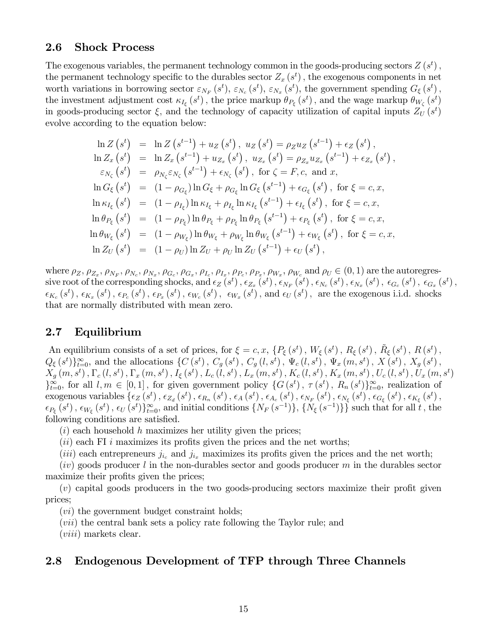### 2.6 Shock Process

The exogenous variables, the permanent technology common in the goods-producing sectors  $Z(s^t)$ , the permanent technology specific to the durables sector  $Z_x(s^t)$ , the exogenous components in net worth variations in borrowing sector  $\varepsilon_{N_F}(s^t)$ ,  $\varepsilon_{N_c}(s^t)$ ,  $\varepsilon_{N_x}(s^t)$ , the government spending  $G_{\xi}(s^t)$ , the investment adjustment cost  $\kappa_{I_{\xi}}(s^t)$ , the price markup  $\theta_{P_{\xi}}(s^t)$ , and the wage markup  $\theta_{W_{\zeta}}(s^t)$ in goods-producing sector  $\xi$ , and the technology of capacity utilization of capital inputs  $Z_U(s^t)$ evolve according to the equation below:

$$
\ln Z(s^{t}) = \ln Z(s^{t-1}) + u_{Z}(s^{t}), u_{Z}(s^{t}) = \rho_{Z}u_{Z}(s^{t-1}) + \epsilon_{Z}(s^{t}),
$$
  
\n
$$
\ln Z_{x}(s^{t}) = \ln Z_{x}(s^{t-1}) + u_{Z_{x}}(s^{t}), u_{Z_{x}}(s^{t}) = \rho_{Z_{x}}u_{Z_{x}}(s^{t-1}) + \epsilon_{Z_{x}}(s^{t}),
$$
  
\n
$$
\epsilon_{N_{\zeta}}(s^{t}) = \rho_{N_{\zeta}}\epsilon_{N_{\zeta}}(s^{t-1}) + \epsilon_{N_{\zeta}}(s^{t}), \text{ for } \zeta = F, c, \text{ and } x,
$$
  
\n
$$
\ln G_{\xi}(s^{t}) = (1 - \rho_{G_{\xi}}) \ln G_{\xi} + \rho_{G_{\xi}} \ln G_{\xi}(s^{t-1}) + \epsilon_{G_{\xi}}(s^{t}), \text{ for } \xi = c, x,
$$
  
\n
$$
\ln \kappa_{I_{\xi}}(s^{t}) = (1 - \rho_{I_{\xi}}) \ln \kappa_{I_{\xi}} + \rho_{I_{\xi}} \ln \kappa_{I_{\xi}}(s^{t-1}) + \epsilon_{I_{\xi}}(s^{t}), \text{ for } \xi = c, x,
$$
  
\n
$$
\ln \theta_{P_{\xi}}(s^{t}) = (1 - \rho_{P_{\xi}}) \ln \theta_{P_{\xi}} + \rho_{P_{\xi}} \ln \theta_{P_{\xi}}(s^{t-1}) + \epsilon_{P_{\xi}}(s^{t}), \text{ for } \xi = c, x,
$$
  
\n
$$
\ln \theta_{W_{\xi}}(s^{t}) = (1 - \rho_{W_{\xi}}) \ln \theta_{W_{\xi}} + \rho_{W_{\xi}} \ln \theta_{W_{\xi}}(s^{t-1}) + \epsilon_{W_{\xi}}(s^{t}), \text{ for } \xi = c, x,
$$
  
\n
$$
\ln Z_{U}(s^{t}) = (1 - \rho_{U}) \ln Z_{U} + \rho_{U} \ln Z_{U}(s^{t-1}) + \epsilon_{U}(s^{t}),
$$

where  $\rho_Z$ ,  $\rho_{Z_x}$ ,  $\rho_{N_F}$ ,  $\rho_{N_c}$ ,  $\rho_{N_x}$ ,  $\rho_{G_c}$ ,  $\rho_{G_x}$ ,  $\rho_{I_c}$ ,  $\rho_{I_x}$ ,  $\rho_{P_c}$ ,  $\rho_{P_x}$ ,  $\rho_{W_x}$ ,  $\rho_{W_c}$  and  $\rho_U \in (0, 1)$  are the autoregres- $\text{sive root of the corresponding shocks, and } \epsilon_Z \left( s^t \right), \epsilon_{Z_x} \left( s^t \right), \epsilon_{N_F} \left( s^t \right), \epsilon_{N_c} \left( s^t \right), \epsilon_{N_x} \left( s^t \right), \epsilon_{G_x} \left( s^t \right), \ \epsilon_{G_z} \left( s^t \right),$  $\epsilon_{K_c}\left(s^t\right), \, \epsilon_{K_x}\left(s^t\right), \, \epsilon_{P_c}\left(s^t\right), \, \epsilon_{W_c}\left(s^t\right), \, \, \epsilon_{W_x}\left(s^t\right), \text{ and } \epsilon_{U}\left(s^t\right), \text{ are the exogenous i.i.d. shocks}$ that are normally distributed with mean zero.

### 2.7 Equilibrium

An equilibrium consists of a set of prices, for  $\xi = c, x$ ,  $\{P_{\xi}(s^t), W_{\xi}(s^t), R_{\xi}(s^t), \tilde{R}_{\xi}(s^t), R(s^t), R(s^t)\}$  $Q_{\xi}(s^t) \}_{t=0}^{\infty}$ , and the allocations  $\{C(s^t), C_g(s^t), C_g(l,s^t), \Psi_c(l,s^t), \Psi_x(m,s^t), X(s^t), X_g(s^t),$  $X_g(m,s^t)$  ,  $\Gamma_c(l,s^t)$  ,  $\Gamma_x(m,s^t)$  ,  $I_\xi(s^t)$  ,  $L_c(l,s^t)$  ,  $L_x(m,s^t)$  ,  $K_c(l,s^t)$  ,  $K_x(m,s^t)$  ,  $U_c(l,s^t)$  ,  $U_x(m,s^t)$  $\}_{t=0}^{\infty}$ , for all  $l, m \in [0, 1]$ , for given government policy  $\{G(s^t), \tau(s^t), R_n(s^t)\}_{t=0}^{\infty}$ , realization of  $\epsilon_{X}$  exogenous variables  $\{\epsilon_{Z}\left(s^t\right),\epsilon_{Z_d}\left(s^t\right),\epsilon_{R_n}\left(s^t\right),\epsilon_{A}\left(s^t\right),\epsilon_{A_c}\left(s^t\right),\epsilon_{N_F}\left(s^t\right),\epsilon_{N_\xi}\left(s^t\right),\epsilon_{G_\xi}\left(s^t\right),\epsilon_{K_\xi}\left(s^t\right),$  $\epsilon_{P_{\xi}}(s^t), \epsilon_{W_{\xi}}(s^t), \epsilon_U(s^t)\}_{t=0}^{\infty}$ , and initial conditions  $\{N_F(s^{-1})\}, \{N_{\xi}(s^{-1})\}\}$  such that for all  $t$ , the following conditions are satisfied.

 $(i)$  each household h maximizes her utility given the prices;

 $(ii)$  each FI i maximizes its profits given the prices and the net worths;

(iii) each entrepreneurs  $j_{i_c}$  and  $j_{i_x}$  maximizes its profits given the prices and the net worth;

 $(iv)$  goods producer l in the non-durables sector and goods producer m in the durables sector maximize their profits given the prices;

 $(v)$  capital goods producers in the two goods-producing sectors maximize their profit given prices;

 $(vi)$  the government budget constraint holds;

(vii) the central bank sets a policy rate following the Taylor rule; and

 $(viii)$  markets clear.

### 2.8 Endogenous Development of TFP through Three Channels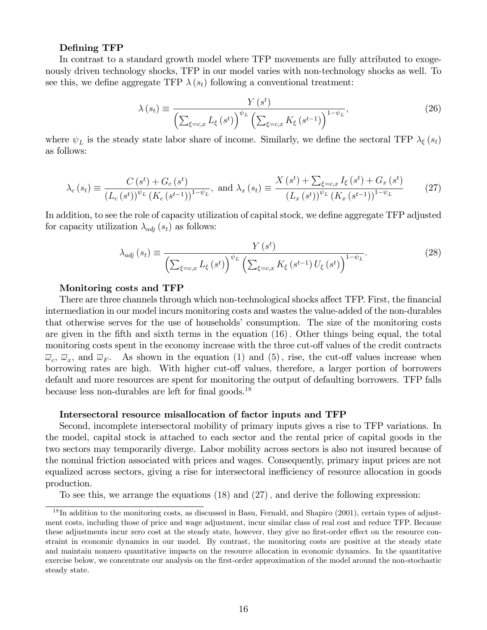#### Defining TFP

In contrast to a standard growth model where TFP movements are fully attributed to exogenously driven technology shocks, TFP in our model varies with non-technology shocks as well. To see this, we define aggregate TFP  $\lambda(s_t)$  following a conventional treatment:

$$
\lambda(s_t) \equiv \frac{Y(s^t)}{\left(\sum_{\xi=c,x} L_{\xi}(s^t)\right)^{\psi_L} \left(\sum_{\xi=c,x} K_{\xi}(s^{t-1})\right)^{1-\psi_L}},\tag{26}
$$

where  $\psi_L$  is the steady state labor share of income. Similarly, we define the sectoral TFP  $\lambda_{\xi}(s_t)$ as follows:

$$
\lambda_{c}(s_{t}) \equiv \frac{C(s^{t}) + G_{c}(s^{t})}{(L_{c}(s^{t}))^{\psi_{L}} (K_{c}(s^{t-1}))^{1-\psi_{L}}}, \text{ and } \lambda_{x}(s_{t}) \equiv \frac{X(s^{t}) + \sum_{\xi = c, x} I_{\xi}(s^{t}) + G_{x}(s^{t})}{(L_{x}(s^{t}))^{\psi_{L}} (K_{x}(s^{t-1}))^{1-\psi_{L}}}
$$
(27)

In addition, to see the role of capacity utilization of capital stock, we define aggregate TFP adjusted for capacity utilization  $\lambda_{adj}(s_t)$  as follows:

$$
\lambda_{adj}(s_t) \equiv \frac{Y(s^t)}{\left(\sum_{\xi=c,x} L_{\xi}(s^t)\right)^{\psi_L} \left(\sum_{\xi=c,x} K_{\xi}(s^{t-1}) U_{\xi}(s^t)\right)^{1-\psi_L}}.
$$
\n(28)

#### Monitoring costs and TFP

There are three channels through which non-technological shocks affect TFP. First, the financial intermediation in our model incurs monitoring costs and wastes the value-added of the non-durables that otherwise serves for the use of households' consumption. The size of the monitoring costs are given in the fifth and sixth terms in the equation  $(16)$ . Other things being equal, the total monitoring costs spent in the economy increase with the three cut-off values of the credit contracts  $\overline{\omega}_c$ ,  $\overline{\omega}_x$ , and  $\overline{\omega}_F$ . As shown in the equation (1) and (5), rise, the cut-off values increase when borrowing rates are high. With higher cut-off values, therefore, a larger portion of borrowers default and more resources are spent for monitoring the output of defaulting borrowers. TFP falls because less non-durables are left for final goods.<sup>18</sup>

#### Intersectoral resource misallocation of factor inputs and TFP

Second, incomplete intersectoral mobility of primary inputs gives a rise to TFP variations. In the model, capital stock is attached to each sector and the rental price of capital goods in the two sectors may temporarily diverge. Labor mobility across sectors is also not insured because of the nominal friction associated with prices and wages. Consequently, primary input prices are not equalized across sectors, giving a rise for intersectoral inefficiency of resource allocation in goods production.

To see this, we arrange the equations  $(18)$  and  $(27)$ , and derive the following expression:

 $18$ In addition to the monitoring costs, as discussed in Basu, Fernald, and Shapiro  $(2001)$ , certain types of adjustment costs, including those of price and wage adjustment, incur similar class of real cost and reduce TFP. Because these adjustments incur zero cost at the steady state, however, they give no first-order effect on the resource constraint in economic dynamics in our model. By contrast, the monitoring costs are positive at the steady state and maintain nonzero quantitative impacts on the resource allocation in economic dynamics. In the quantitative exercise below, we concentrate our analysis on the first-order approximation of the model around the non-stochastic steady state.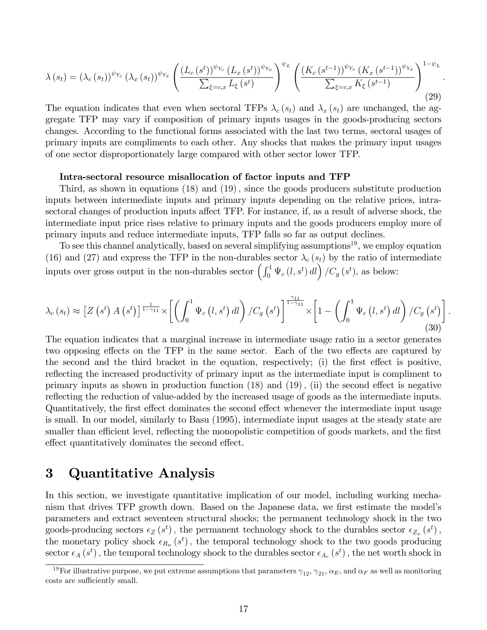$$
\lambda(s_t) = (\lambda_c(s_t))^{\psi_{Y_c}} (\lambda_x(s_t))^{\psi_{Y_x}} \left( \frac{(L_c(s^t))^{\psi_{Y_c}} (L_x(s^t))^{\psi_{Y_x}}}{\sum_{\xi = c, x} L_{\xi}(s^t)} \right)^{\psi_L} \left( \frac{(K_c(s^{t-1}))^{\psi_{Y_c}} (K_x(s^{t-1}))^{\psi_{Y_x}}}{\sum_{\xi = c, x} K_{\xi}(s^{t-1})} \right)^{1-\psi_L}.
$$
\n(29)

The equation indicates that even when sectoral TFPs  $\lambda_c (s_t)$  and  $\lambda_x (s_t)$  are unchanged, the aggregate TFP may vary if composition of primary inputs usages in the goods-producing sectors changes. According to the functional forms associated with the last two terms, sectoral usages of primary inputs are compliments to each other. Any shocks that makes the primary input usages of one sector disproportionately large compared with other sector lower TFP.

#### Intra-sectoral resource misallocation of factor inputs and TFP

Third, as shown in equations  $(18)$  and  $(19)$ , since the goods producers substitute production inputs between intermediate inputs and primary inputs depending on the relative prices, intrasectoral changes of production inputs affect TFP. For instance, if, as a result of adverse shock, the intermediate input price rises relative to primary inputs and the goods producers employ more of primary inputs and reduce intermediate inputs, TFP falls so far as output declines.

To see this channel analytically, based on several simplifying assumptions<sup>19</sup>, we employ equation (16) and (27) and express the TFP in the non-durables sector  $\lambda_c (s_t)$  by the ratio of intermediate inputs over gross output in the non-durables sector  $\left(\int_0^1 \Psi_c(l, s^t) dl\right)/C_g(s^t)$ , as below:

$$
\lambda_c(s_t) \approx \left[Z\left(s^t\right) A\left(s^t\right)\right]^{\frac{1}{1-\gamma_{11}}} \times \left[\left(\int_0^1 \Psi_c\left(l, s^t\right) dl\right) / C_g\left(s^t\right)\right]^{\frac{\gamma_{11}}{1-\gamma_{11}}} \times \left[1 - \left(\int_0^1 \Psi_c\left(l, s^t\right) dl\right) / C_g\left(s^t\right)\right].
$$
\n(30)

The equation indicates that a marginal increase in intermediate usage ratio in a sector generates two opposing effects on the TFP in the same sector. Each of the two effects are captured by the second and the third bracket in the equation, respectively; (i) the first effect is positive, reflecting the increased productivity of primary input as the intermediate input is compliment to primary inputs as shown in production function  $(18)$  and  $(19)$ ,  $(ii)$  the second effect is negative reflecting the reduction of value-added by the increased usage of goods as the intermediate inputs. Quantitatively, the first effect dominates the second effect whenever the intermediate input usage is small. In our model, similarly to Basu (1995), intermediate input usages at the steady state are smaller than efficient level, reflecting the monopolistic competition of goods markets, and the first effect quantitatively dominates the second effect.

## 3 Quantitative Analysis

In this section, we investigate quantitative implication of our model, including working mechanism that drives TFP growth down. Based on the Japanese data, we first estimate the model's parameters and extract seventeen structural shocks; the permanent technology shock in the two goods-producing sectors  $\epsilon_Z(s^t)$ , the permanent technology shock to the durables sector  $\epsilon_{Z_x}(s^t)$ , the monetary policy shock  $\epsilon_{R_n}(s^t)$ , the temporal technology shock to the two goods producing  $\text{sector } \epsilon_A(s^t)$  , the temporal technology shock to the durables sector  $\epsilon_{A_c}(s^t)$  , the net worth shock in

<sup>&</sup>lt;sup>19</sup>For illustrative purpose, we put extreme assumptions that parameters  $\gamma_{12}$ ,  $\gamma_{21}$ ,  $\alpha_E$ , and  $\alpha_F$  as well as monitoring costs are sufficiently small.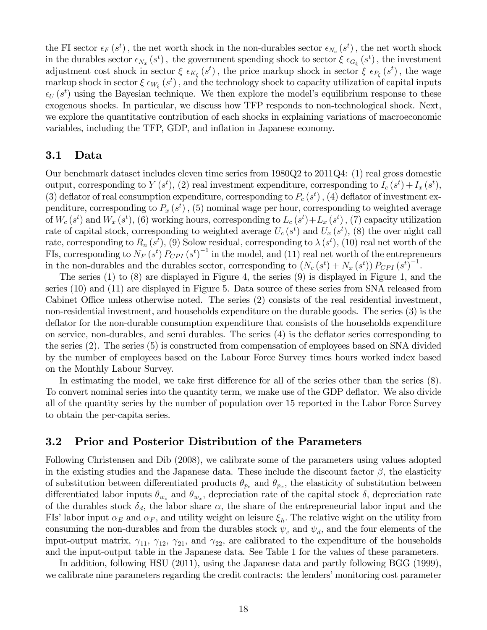the FI sector  $\epsilon_F(s^t)$ , the net worth shock in the non-durables sector  $\epsilon_{N_c}(s^t)$ , the net worth shock in the durables sector  $\epsilon_{N_x}(s^t)$ , the government spending shock to sector  $\xi \epsilon_{G_\xi}(s^t)$ , the investment adjustment cost shock in sector  $\xi \epsilon_{K_{\xi}}(s^t)$ , the price markup shock in sector  $\xi \epsilon_{P_{\xi}}(s^t)$ , the wage markup shock in sector  $\xi \epsilon_{W_{\xi}}(s^t)$ , and the technology shock to capacity utilization of capital inputs  $\epsilon_U(s^t)$  using the Bayesian technique. We then explore the model's equilibrium response to these exogenous shocks. In particular, we discuss how TFP responds to non-technological shock. Next, we explore the quantitative contribution of each shocks in explaining variations of macroeconomic variables, including the TFP, GDP, and inflation in Japanese economy.

### 3.1 Data

Our benchmark dataset includes eleven time series from 1980Q2 to 2011Q4: (1) real gross domestic output, corresponding to  $Y(s^t)$ , (2) real investment expenditure, corresponding to  $I_c(s^t) + I_x(s^t)$ , (3) deflator of real consumption expenditure, corresponding to  $P_c(s^t)$ , (4) deflator of investment expenditure, corresponding to  $P_x(s^t)$ , (5) nominal wage per hour, corresponding to weighted average of  $W_c(s^t)$  and  $W_x(s^t)$ , (6) working hours, corresponding to  $L_c(s^t) + L_x(s^t)$ , (7) capacity utilization rate of capital stock, corresponding to weighted average  $U_c(s^t)$  and  $U_x(s^t)$ , (8) the over night call rate, corresponding to  $R_n(s^t)$ , (9) Solow residual, corresponding to  $\lambda(s^t)$ , (10) real net worth of the FIs, corresponding to  $N_F(s^t) P_{CPI}(s^t)^{-1}$  in the model, and (11) real net worth of the entrepreneurs in the non-durables and the durables sector, corresponding to  $(N_c (s^t) + N_x (s^t)) P_{CPI} (s^t)^{-1}$ .

The series (1) to (8) are displayed in Figure 4, the series (9) is displayed in Figure 1, and the series (10) and (11) are displayed in Figure 5. Data source of these series from SNA released from Cabinet Office unless otherwise noted. The series  $(2)$  consists of the real residential investment, non-residential investment, and households expenditure on the durable goods. The series (3) is the deflator for the non-durable consumption expenditure that consists of the households expenditure on service, non-durables, and semi durables. The series (4) is the deáator series corresponding to the series (2). The series (5) is constructed from compensation of employees based on SNA divided by the number of employees based on the Labour Force Survey times hours worked index based on the Monthly Labour Survey.

In estimating the model, we take first difference for all of the series other than the series  $(8)$ . To convert nominal series into the quantity term, we make use of the GDP deflator. We also divide all of the quantity series by the number of population over 15 reported in the Labor Force Survey to obtain the per-capita series.

### 3.2 Prior and Posterior Distribution of the Parameters

Following Christensen and Dib (2008), we calibrate some of the parameters using values adopted in the existing studies and the Japanese data. These include the discount factor  $\beta$ , the elasticity of substitution between differentiated products  $\theta_{p_c}$  and  $\theta_{p_x}$ , the elasticity of substitution between differentiated labor inputs  $\theta_{w_c}$  and  $\theta_{w_x}$ , depreciation rate of the capital stock  $\delta$ , depreciation rate of the durables stock  $\delta_d$ , the labor share  $\alpha$ , the share of the entrepreneurial labor input and the FIs' labor input  $\alpha_E$  and  $\alpha_F$ , and utility weight on leisure  $\xi_h$ . The relative wight on the utility from consuming the non-durables and from the durables stock  $\psi_c$  and  $\psi_d$ , and the four elements of the input-output matrix,  $\gamma_{11}$ ,  $\gamma_{12}$ ,  $\gamma_{21}$ , and  $\gamma_{22}$ , are calibrated to the expenditure of the households and the input-output table in the Japanese data. See Table 1 for the values of these parameters.

In addition, following HSU (2011), using the Japanese data and partly following BGG (1999), we calibrate nine parameters regarding the credit contracts: the lenders' monitoring cost parameter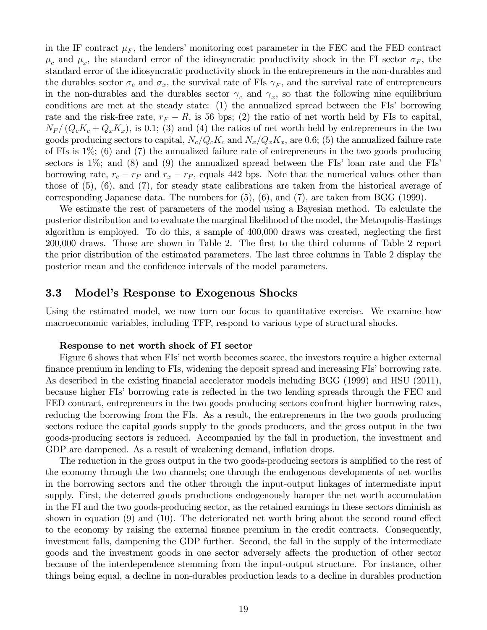in the IF contract  $\mu_F$ , the lenders' monitoring cost parameter in the FEC and the FED contract  $\mu_c$  and  $\mu_x$ , the standard error of the idiosyncratic productivity shock in the FI sector  $\sigma_F$ , the standard error of the idiosyncratic productivity shock in the entrepreneurs in the non-durables and the durables sector  $\sigma_c$  and  $\sigma_x$ , the survival rate of FIs  $\gamma_F$ , and the survival rate of entrepreneurs in the non-durables and the durables sector  $\gamma_c$  and  $\gamma_x$ , so that the following nine equilibrium conditions are met at the steady state:  $(1)$  the annualized spread between the FIs' borrowing rate and the risk-free rate,  $r_F - R$ , is 56 bps; (2) the ratio of net worth held by FIs to capital,  $N_F/(Q_cK_c+Q_xK_x)$ , is 0.1; (3) and (4) the ratios of net worth held by entrepreneurs in the two goods producing sectors to capital,  $N_c/Q_cK_c$  and  $N_x/Q_xK_x$ , are 0.6; (5) the annualized failure rate of FIs is 1%; (6) and (7) the annualized failure rate of entrepreneurs in the two goods producing sectors is  $1\%$ ; and  $(8)$  and  $(9)$  the annualized spread between the FIs' loan rate and the FIs' borrowing rate,  $r_c - r_F$  and  $r_x - r_F$ , equals 442 bps. Note that the numerical values other than those of  $(5)$ ,  $(6)$ , and  $(7)$ , for steady state calibrations are taken from the historical average of corresponding Japanese data. The numbers for  $(5)$ ,  $(6)$ , and  $(7)$ , are taken from BGG  $(1999)$ .

We estimate the rest of parameters of the model using a Bayesian method. To calculate the posterior distribution and to evaluate the marginal likelihood of the model, the Metropolis-Hastings algorithm is employed. To do this, a sample of  $400,000$  draws was created, neglecting the first 200,000 draws. Those are shown in Table 2. The first to the third columns of Table 2 report the prior distribution of the estimated parameters. The last three columns in Table 2 display the posterior mean and the confidence intervals of the model parameters.

### 3.3 Model's Response to Exogenous Shocks

Using the estimated model, we now turn our focus to quantitative exercise. We examine how macroeconomic variables, including TFP, respond to various type of structural shocks.

#### Response to net worth shock of FI sector

Figure 6 shows that when FIs' net worth becomes scarce, the investors require a higher external finance premium in lending to FIs, widening the deposit spread and increasing FIs' borrowing rate. As described in the existing financial accelerator models including BGG (1999) and HSU (2011), because higher FIs' borrowing rate is reflected in the two lending spreads through the FEC and FED contract, entrepreneurs in the two goods producing sectors confront higher borrowing rates, reducing the borrowing from the FIs. As a result, the entrepreneurs in the two goods producing sectors reduce the capital goods supply to the goods producers, and the gross output in the two goods-producing sectors is reduced. Accompanied by the fall in production, the investment and GDP are dampened. As a result of weakening demand, inflation drops.

The reduction in the gross output in the two goods-producing sectors is amplified to the rest of the economy through the two channels; one through the endogenous developments of net worths in the borrowing sectors and the other through the input-output linkages of intermediate input supply. First, the deterred goods productions endogenously hamper the net worth accumulation in the FI and the two goods-producing sector, as the retained earnings in these sectors diminish as shown in equation  $(9)$  and  $(10)$ . The deteriorated net worth bring about the second round effect to the economy by raising the external Önance premium in the credit contracts. Consequently, investment falls, dampening the GDP further. Second, the fall in the supply of the intermediate goods and the investment goods in one sector adversely affects the production of other sector because of the interdependence stemming from the input-output structure. For instance, other things being equal, a decline in non-durables production leads to a decline in durables production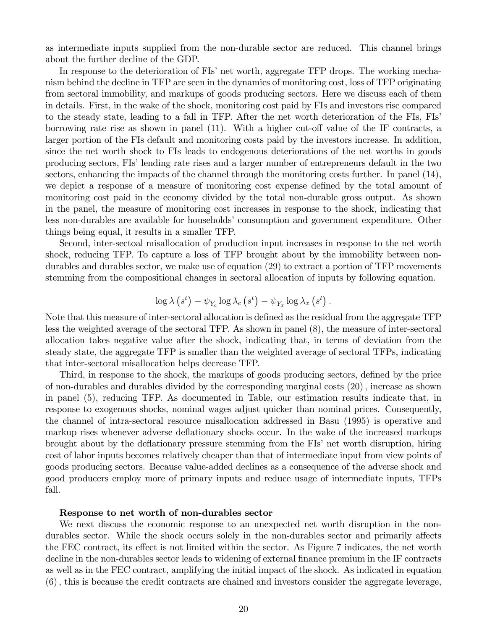as intermediate inputs supplied from the non-durable sector are reduced. This channel brings about the further decline of the GDP.

In response to the deterioration of FIs' net worth, aggregate TFP drops. The working mechanism behind the decline in TFP are seen in the dynamics of monitoring cost, loss of TFP originating from sectoral immobility, and markups of goods producing sectors. Here we discuss each of them in details. First, in the wake of the shock, monitoring cost paid by FIs and investors rise compared to the steady state, leading to a fall in TFP. After the net worth deterioration of the FIs, FIsí borrowing rate rise as shown in panel  $(11)$ . With a higher cut-off value of the IF contracts, a larger portion of the FIs default and monitoring costs paid by the investors increase. In addition, since the net worth shock to FIs leads to endogenous deteriorations of the net worths in goods producing sectors, FIsílending rate rises and a larger number of entrepreneurs default in the two sectors, enhancing the impacts of the channel through the monitoring costs further. In panel  $(14)$ , we depict a response of a measure of monitoring cost expense defined by the total amount of monitoring cost paid in the economy divided by the total non-durable gross output. As shown in the panel, the measure of monitoring cost increases in response to the shock, indicating that less non-durables are available for households' consumption and government expenditure. Other things being equal, it results in a smaller TFP.

Second, inter-sectoal misallocation of production input increases in response to the net worth shock, reducing TFP. To capture a loss of TFP brought about by the immobility between nondurables and durables sector, we make use of equation (29) to extract a portion of TFP movements stemming from the compositional changes in sectoral allocation of inputs by following equation.

$$
\log \lambda (s^t) - \psi_{Y_c} \log \lambda_c (s^t) - \psi_{Y_x} \log \lambda_x (s^t).
$$

Note that this measure of inter-sectoral allocation is defined as the residual from the aggregate TFP less the weighted average of the sectoral TFP. As shown in panel (8), the measure of inter-sectoral allocation takes negative value after the shock, indicating that, in terms of deviation from the steady state, the aggregate TFP is smaller than the weighted average of sectoral TFPs, indicating that inter-sectoral misallocation helps decrease TFP.

Third, in response to the shock, the markups of goods producing sectors, defined by the price of non-durables and durables divided by the corresponding marginal costs (20); increase as shown in panel (5), reducing TFP. As documented in Table, our estimation results indicate that, in response to exogenous shocks, nominal wages adjust quicker than nominal prices. Consequently, the channel of intra-sectoral resource misallocation addressed in Basu (1995) is operative and markup rises whenever adverse deflationary shocks occur. In the wake of the increased markups brought about by the deflationary pressure stemming from the FIs' net worth disruption, hiring cost of labor inputs becomes relatively cheaper than that of intermediate input from view points of goods producing sectors. Because value-added declines as a consequence of the adverse shock and good producers employ more of primary inputs and reduce usage of intermediate inputs, TFPs fall.

#### Response to net worth of non-durables sector

We next discuss the economic response to an unexpected net worth disruption in the nondurables sector. While the shock occurs solely in the non-durables sector and primarily affects the FEC contract, its effect is not limited within the sector. As Figure 7 indicates, the net worth decline in the non-durables sector leads to widening of external finance premium in the IF contracts as well as in the FEC contract, amplifying the initial impact of the shock. As indicated in equation (6); this is because the credit contracts are chained and investors consider the aggregate leverage,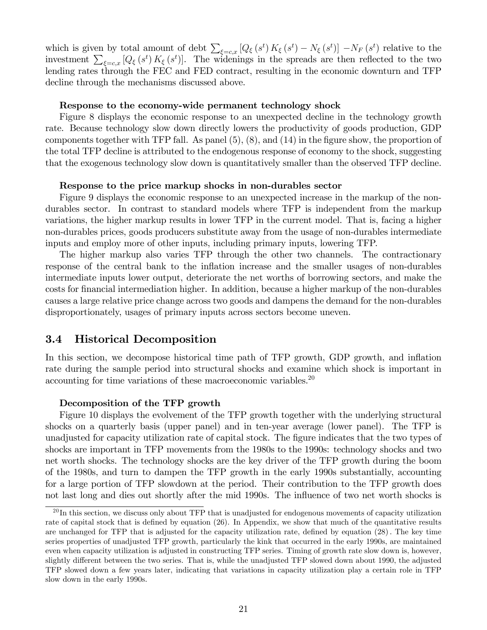which is given by total amount of debt  $\sum_{\xi=c,x} [Q_{\xi}(s^t) K_{\xi}(s^t) - N_{\xi}(s^t)] - N_F(s^t)$  relative to the investment  $\sum_{\xi=c,x} [Q_{\xi}(s^t) K_{\xi}(s^t)]$ . The widenings in the spreads are then reflected to the two lending rates through the FEC and FED contract, resulting in the economic downturn and TFP decline through the mechanisms discussed above.

#### Response to the economy-wide permanent technology shock

Figure 8 displays the economic response to an unexpected decline in the technology growth rate. Because technology slow down directly lowers the productivity of goods production, GDP components together with TFP fall. As panel  $(5)$ ,  $(8)$ , and  $(14)$  in the figure show, the proportion of the total TFP decline is attributed to the endogenous response of economy to the shock, suggesting that the exogenous technology slow down is quantitatively smaller than the observed TFP decline.

#### Response to the price markup shocks in non-durables sector

Figure 9 displays the economic response to an unexpected increase in the markup of the nondurables sector. In contrast to standard models where TFP is independent from the markup variations, the higher markup results in lower TFP in the current model. That is, facing a higher non-durables prices, goods producers substitute away from the usage of non-durables intermediate inputs and employ more of other inputs, including primary inputs, lowering TFP.

The higher markup also varies TFP through the other two channels. The contractionary response of the central bank to the inflation increase and the smaller usages of non-durables intermediate inputs lower output, deteriorate the net worths of borrowing sectors, and make the costs for Önancial intermediation higher. In addition, because a higher markup of the non-durables causes a large relative price change across two goods and dampens the demand for the non-durables disproportionately, usages of primary inputs across sectors become uneven.

### 3.4 Historical Decomposition

In this section, we decompose historical time path of TFP growth, GDP growth, and inflation rate during the sample period into structural shocks and examine which shock is important in accounting for time variations of these macroeconomic variables.<sup>20</sup>

#### Decomposition of the TFP growth

Figure 10 displays the evolvement of the TFP growth together with the underlying structural shocks on a quarterly basis (upper panel) and in ten-year average (lower panel). The TFP is unadjusted for capacity utilization rate of capital stock. The figure indicates that the two types of shocks are important in TFP movements from the 1980s to the 1990s: technology shocks and two net worth shocks. The technology shocks are the key driver of the TFP growth during the boom of the 1980s, and turn to dampen the TFP growth in the early 1990s substantially, accounting for a large portion of TFP slowdown at the period. Their contribution to the TFP growth does not last long and dies out shortly after the mid 1990s. The influence of two net worth shocks is

 $^{20}$ In this section, we discuss only about TFP that is unadjusted for endogenous movements of capacity utilization rate of capital stock that is defined by equation (26). In Appendix, we show that much of the quantitative results are unchanged for TFP that is adjusted for the capacity utilization rate, defined by equation (28). The key time series properties of unadjusted TFP growth, particularly the kink that occurred in the early 1990s, are maintained even when capacity utilization is adjusted in constructing TFP series. Timing of growth rate slow down is, however, slightly different between the two series. That is, while the unadjusted TFP slowed down about 1990, the adjusted TFP slowed down a few years later, indicating that variations in capacity utilization play a certain role in TFP slow down in the early 1990s.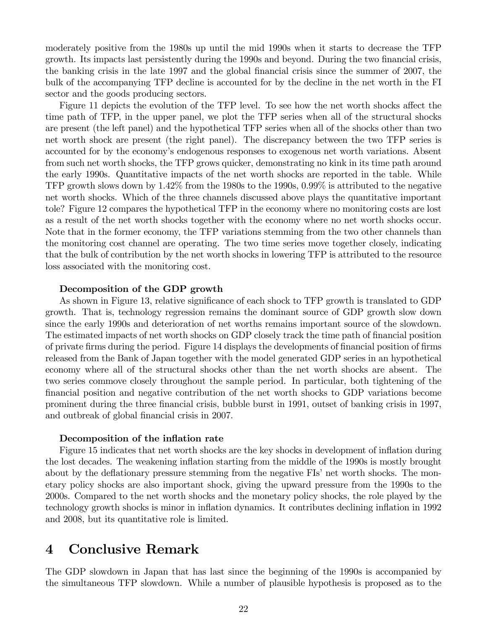moderately positive from the 1980s up until the mid 1990s when it starts to decrease the TFP growth. Its impacts last persistently during the 1990s and beyond. During the two financial crisis, the banking crisis in the late 1997 and the global Önancial crisis since the summer of 2007, the bulk of the accompanying TFP decline is accounted for by the decline in the net worth in the FI sector and the goods producing sectors.

Figure 11 depicts the evolution of the TFP level. To see how the net worth shocks affect the time path of TFP, in the upper panel, we plot the TFP series when all of the structural shocks are present (the left panel) and the hypothetical TFP series when all of the shocks other than two net worth shock are present (the right panel). The discrepancy between the two TFP series is accounted for by the economy's endogenous responses to exogenous net worth variations. Absent from such net worth shocks, the TFP grows quicker, demonstrating no kink in its time path around the early 1990s. Quantitative impacts of the net worth shocks are reported in the table. While TFP growth slows down by 1.42% from the 1980s to the 1990s, 0.99% is attributed to the negative net worth shocks. Which of the three channels discussed above plays the quantitative important tole? Figure 12 compares the hypothetical TFP in the economy where no monitoring costs are lost as a result of the net worth shocks together with the economy where no net worth shocks occur. Note that in the former economy, the TFP variations stemming from the two other channels than the monitoring cost channel are operating. The two time series move together closely, indicating that the bulk of contribution by the net worth shocks in lowering TFP is attributed to the resource loss associated with the monitoring cost.

#### Decomposition of the GDP growth

As shown in Figure 13, relative significance of each shock to TFP growth is translated to GDP growth. That is, technology regression remains the dominant source of GDP growth slow down since the early 1990s and deterioration of net worths remains important source of the slowdown. The estimated impacts of net worth shocks on GDP closely track the time path of financial position of private firms during the period. Figure 14 displays the developments of financial position of firms released from the Bank of Japan together with the model generated GDP series in an hypothetical economy where all of the structural shocks other than the net worth shocks are absent. The two series commove closely throughout the sample period. In particular, both tightening of the financial position and negative contribution of the net worth shocks to GDP variations become prominent during the three Önancial crisis, bubble burst in 1991, outset of banking crisis in 1997, and outbreak of global financial crisis in 2007.

#### Decomposition of the inflation rate

Figure 15 indicates that net worth shocks are the key shocks in development of inflation during the lost decades. The weakening inflation starting from the middle of the 1990s is mostly brought about by the deflationary pressure stemming from the negative FIs' net worth shocks. The monetary policy shocks are also important shock, giving the upward pressure from the 1990s to the 2000s. Compared to the net worth shocks and the monetary policy shocks, the role played by the technology growth shocks is minor in inflation dynamics. It contributes declining inflation in 1992 and 2008, but its quantitative role is limited.

# 4 Conclusive Remark

The GDP slowdown in Japan that has last since the beginning of the 1990s is accompanied by the simultaneous TFP slowdown. While a number of plausible hypothesis is proposed as to the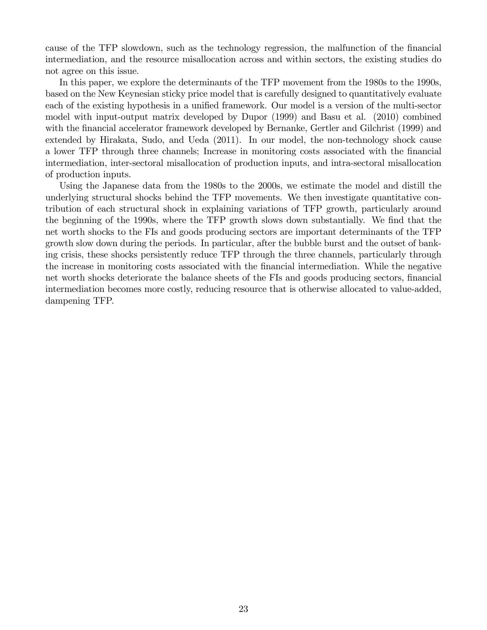cause of the TFP slowdown, such as the technology regression, the malfunction of the financial intermediation, and the resource misallocation across and within sectors, the existing studies do not agree on this issue.

In this paper, we explore the determinants of the TFP movement from the 1980s to the 1990s, based on the New Keynesian sticky price model that is carefully designed to quantitatively evaluate each of the existing hypothesis in a unified framework. Our model is a version of the multi-sector model with input-output matrix developed by Dupor (1999) and Basu et al. (2010) combined with the financial accelerator framework developed by Bernanke, Gertler and Gilchrist (1999) and extended by Hirakata, Sudo, and Ueda (2011). In our model, the non-technology shock cause a lower TFP through three channels; Increase in monitoring costs associated with the financial intermediation, inter-sectoral misallocation of production inputs, and intra-sectoral misallocation of production inputs.

Using the Japanese data from the 1980s to the 2000s, we estimate the model and distill the underlying structural shocks behind the TFP movements. We then investigate quantitative contribution of each structural shock in explaining variations of TFP growth, particularly around the beginning of the 1990s, where the TFP growth slows down substantially. We find that the net worth shocks to the FIs and goods producing sectors are important determinants of the TFP growth slow down during the periods. In particular, after the bubble burst and the outset of banking crisis, these shocks persistently reduce TFP through the three channels, particularly through the increase in monitoring costs associated with the financial intermediation. While the negative net worth shocks deteriorate the balance sheets of the FIs and goods producing sectors, financial intermediation becomes more costly, reducing resource that is otherwise allocated to value-added, dampening TFP.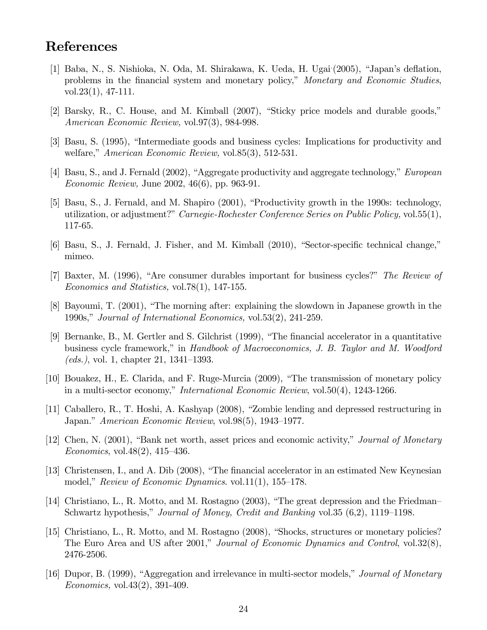# References

- [1] Baba, N., S. Nishioka, N. Oda, M. Shirakawa, K. Ueda, H. Ugai: (2005), "Japan's deflation, problems in the financial system and monetary policy," Monetary and Economic Studies, vol.23(1), 47-111.
- $[2]$  Barsky, R., C. House, and M. Kimball  $(2007)$ , "Sticky price models and durable goods," American Economic Review, vol.97(3), 984-998.
- [3] Basu, S. (1995), "Intermediate goods and business cycles: Implications for productivity and welfare," American Economic Review, vol.85 $(3)$ , 512-531.
- [4] Basu, S., and J. Fernald  $(2002)$ , "Aggregate productivity and aggregate technology," *European* Economic Review, June 2002, 46(6), pp. 963-91.
- [5] Basu, S., J. Fernald, and M. Shapiro (2001), "Productivity growth in the 1990s: technology, utilization, or adjustment?" Carnegie-Rochester Conference Series on Public Policy, vol.  $55(1)$ , 117-65.
- [6] Basu, S., J. Fernald, J. Fisher, and M. Kimball (2010), "Sector-specific technical change," mimeo.
- [7] Baxter, M. (1996), "Are consumer durables important for business cycles?" The Review of Economics and Statistics, vol.78(1), 147-155.
- $[8]$  Bayoumi, T.  $(2001)$ , "The morning after: explaining the slowdown in Japanese growth in the 1990s," Journal of International Economics, vol.53 $(2)$ , 241-259.
- [9] Bernanke, B., M. Gertler and S. Gilchrist (1999), "The financial accelerator in a quantitative business cycle framework," in Handbook of Macroeconomics, J. B. Taylor and M. Woodford (*eds.*), vol. 1, chapter 21,  $1341-1393$ .
- [10] Bouakez, H., E. Clarida, and F. Ruge-Murcia (2009), "The transmission of monetary policy in a multi-sector economy," International Economic Review, vol.50(4), 1243-1266.
- [11] Caballero, R., T. Hoshi, A. Kashyap (2008), "Zombie lending and depressed restructuring in Japan." American Economic Review, vol.98(5), 1943–1977.
- [12] Chen, N. (2001), "Bank net worth, asset prices and economic activity," Journal of Monetary Economics, vol.  $48(2)$ ,  $415-436$ .
- [13] Christensen, I., and A. Dib (2008), "The financial accelerator in an estimated New Keynesian model," Review of Economic Dynamics. vol.11(1), 155–178.
- [14] Christiano, L., R. Motto, and M. Rostagno  $(2003)$ , "The great depression and the Friedman Schwartz hypothesis," Journal of Money, Credit and Banking vol.35  $(6,2)$ , 1119–1198.
- [15] Christiano, L., R. Motto, and M. Rostagno (2008), "Shocks, structures or monetary policies? The Euro Area and US after 2001," Journal of Economic Dynamics and Control, vol.32 $(8)$ , 2476-2506.
- [16] Dupor, B. (1999), "Aggregation and irrelevance in multi-sector models," Journal of Monetary *Economics*, vol.  $43(2)$ ,  $391-409$ .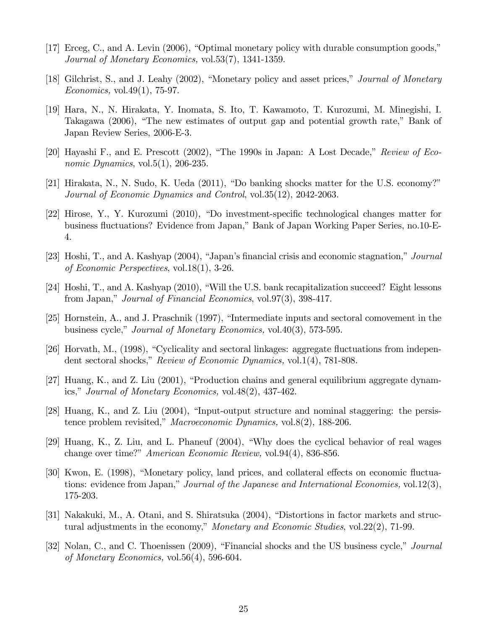- $[17]$  Erceg, C., and A. Levin  $(2006)$ , "Optimal monetary policy with durable consumption goods," Journal of Monetary Economics, vol.53(7), 1341-1359.
- [18] Gilchrist, S., and J. Leahy (2002), "Monetary policy and asset prices," Journal of Monetary *Economics*, vol.49 $(1)$ , 75-97.
- [19] Hara, N., N. Hirakata, Y. Inomata, S. Ito, T. Kawamoto, T. Kurozumi, M. Minegishi, I. Takagawa  $(2006)$ , "The new estimates of output gap and potential growth rate," Bank of Japan Review Series, 2006-E-3.
- [20] Hayashi F., and E. Prescott  $(2002)$ , "The 1990s in Japan: A Lost Decade," Review of Economic Dynamics, vol.5(1), 206-235.
- [21] Hirakata, N., N. Sudo, K. Ueda (2011), "Do banking shocks matter for the U.S. economy?" Journal of Economic Dynamics and Control, vol.35(12), 2042-2063.
- [22] Hirose, Y., Y. Kurozumi (2010), "Do investment-specific technological changes matter for business fluctuations? Evidence from Japan," Bank of Japan Working Paper Series, no.10-E-4.
- [23] Hoshi, T., and A. Kashyap  $(2004)$ , "Japan's financial crisis and economic stagnation," *Journal* of Economic Perspectives, vol.18(1), 3-26.
- [24] Hoshi, T., and A. Kashyap (2010), "Will the U.S. bank recapitalization succeed? Eight lessons from Japan," Journal of Financial Economics, vol.97 $(3)$ , 398-417.
- [25] Hornstein, A., and J. Praschnik (1997), "Intermediate inputs and sectoral comovement in the business cycle," *Journal of Monetary Economics*, vol.40(3), 573-595.
- [26] Horvath, M., (1998), "Cyclicality and sectoral linkages: aggregate fluctuations from independent sectoral shocks," Review of Economic Dynamics, vol.1(4), 781-808.
- [27] Huang, K., and Z. Liu  $(2001)$ , "Production chains and general equilibrium aggregate dynamics," Journal of Monetary Economics, vol.  $48(2)$ ,  $437-462$ .
- [28] Huang, K., and Z. Liu  $(2004)$ , "Input-output structure and nominal staggering: the persistence problem revisited," Macroeconomic Dynamics, vol.8(2), 188-206.
- [29] Huang, K., Z. Liu, and L. Phaneuf (2004), "Why does the cyclical behavior of real wages change over time?" American Economic Review, vol.94(4), 836-856.
- [30] Kwon, E. (1998), "Monetary policy, land prices, and collateral effects on economic fluctuations: evidence from Japan," Journal of the Japanese and International Economies, vol.12(3), 175-203.
- [31] Nakakuki, M., A. Otani, and S. Shiratsuka (2004), "Distortions in factor markets and structural adjustments in the economy," Monetary and Economic Studies, vol.  $22(2)$ , 71-99.
- [32] Nolan, C., and C. Thoenissen (2009), "Financial shocks and the US business cycle," *Journal* of Monetary Economics, vol.56(4), 596-604.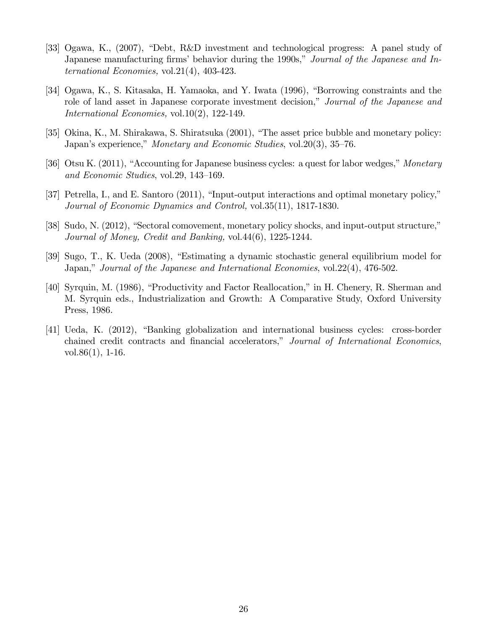- [33] Ogawa, K.,  $(2007)$ , "Debt, R&D investment and technological progress: A panel study of Japanese manufacturing firms' behavior during the 1990s," Journal of the Japanese and International Economies, vol.21(4), 403-423.
- [34] Ogawa, K., S. Kitasaka, H. Yamaoka, and Y. Iwata (1996), "Borrowing constraints and the role of land asset in Japanese corporate investment decision," Journal of the Japanese and International Economies, vol.10(2), 122-149.
- [35] Okina, K., M. Shirakawa, S. Shiratsuka  $(2001)$ , "The asset price bubble and monetary policy: Japan's experience," Monetary and Economic Studies, vol. 20(3), 35–76.
- [36] Otsu K. (2011), "Accounting for Japanese business cycles: a quest for labor wedges," Monetary and Economic Studies, vol. 29, 143–169.
- [37] Petrella, I., and E. Santoro  $(2011)$ , "Input-output interactions and optimal monetary policy," Journal of Economic Dynamics and Control, vol.35(11), 1817-1830.
- [38] Sudo, N. (2012), "Sectoral comovement, monetary policy shocks, and input-output structure," Journal of Money, Credit and Banking, vol.44(6), 1225-1244.
- [39] Sugo, T., K. Ueda (2008), "Estimating a dynamic stochastic general equilibrium model for Japan," Journal of the Japanese and International Economies, vol.  $22(4)$ , 476-502.
- [40] Syrquin, M. (1986), "Productivity and Factor Reallocation," in H. Chenery, R. Sherman and M. Syrquin eds., Industrialization and Growth: A Comparative Study, Oxford University Press, 1986.
- [41] Ueda, K. (2012), "Banking globalization and international business cycles: cross-border chained credit contracts and financial accelerators," Journal of International Economics, vol.86 $(1)$ , 1-16.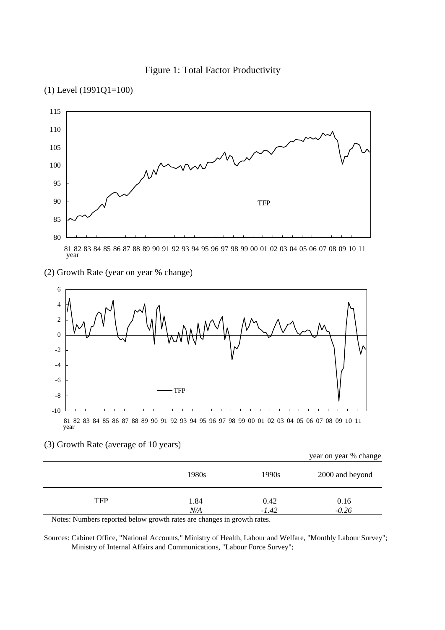





### (2) Growth Rate (year on year % change)



### (3) Growth Rate (average of 10 years)

|                                                                                                                                   |           |         | year on year % change |
|-----------------------------------------------------------------------------------------------------------------------------------|-----------|---------|-----------------------|
|                                                                                                                                   | 1980s     | 1990s   | 2000 and beyond       |
| <b>TFP</b>                                                                                                                        | 1.84      | 0.42    | 0.16                  |
| $\mathbf{M}$ . The contract of the second of $\mathbf{M}$ and $\mathbf{M}$ are second of the second $\mathbf{M}$ and $\mathbf{M}$ | $N\!/\!A$ | $-1.42$ | $-0.26$               |

Notes: Numbers reported below growth rates are changes in growth rates.

Sources: Cabinet Office, "National Accounts," Ministry of Health, Labour and Welfare, "Monthly Labour Survey"; Ministry of Internal Affairs and Communications, "Labour Force Survey";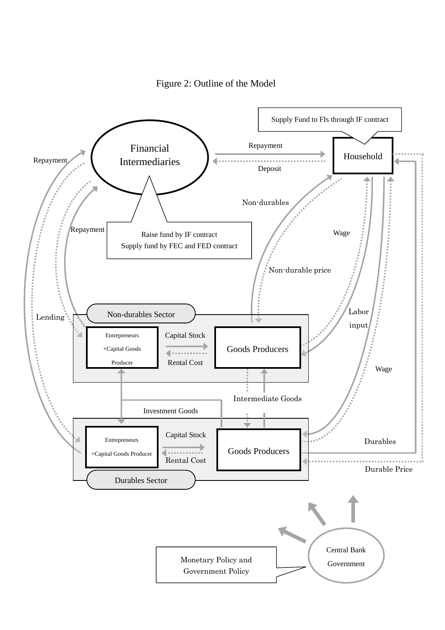

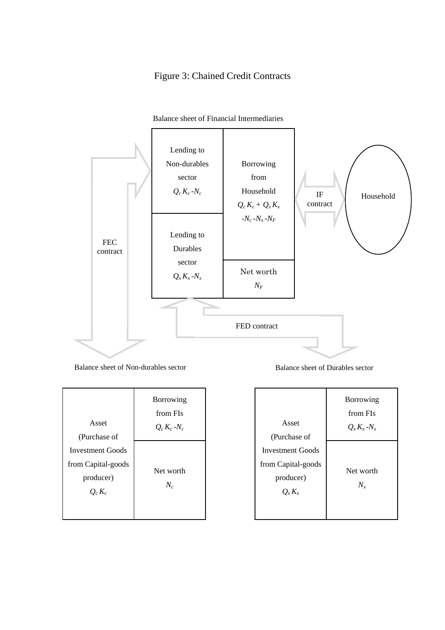# Figure 3: Chained Credit Contracts



#### Balance sheet of Financial Intermediaries

Balance sheet of Non-durables sector Balance sheet of Durables sector

| Asset<br>(Purchase of                                                   | <b>Borrowing</b><br>from FIs<br>$Q_c K_c$ -N <sub>c</sub> |
|-------------------------------------------------------------------------|-----------------------------------------------------------|
| <b>Investment Goods</b><br>from Capital-goods<br>producer)<br>$Q_c K_c$ | Net worth<br>$N_c$                                        |

| Asset                                           | Borrowing<br>from FIs<br>$Q_x K_x - N_x$ |
|-------------------------------------------------|------------------------------------------|
| (Purchase of<br><b>Investment Goods</b>         |                                          |
| from Capital-goods<br>producer)<br>$Q_{x}K_{x}$ | Net worth<br>$N_{\rm x}$                 |
|                                                 |                                          |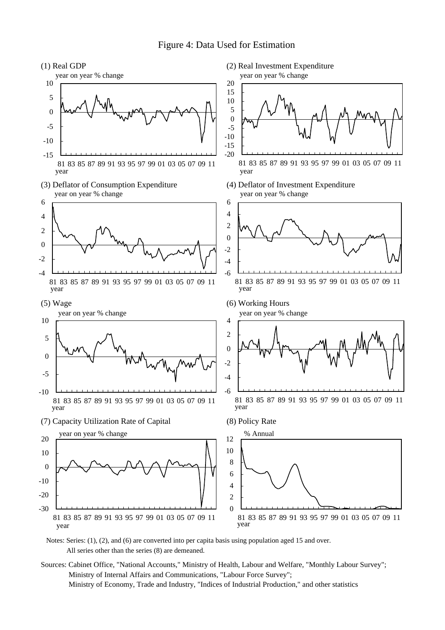### Figure 4: Data Used for Estimation



 Notes: Series: (1), (2), and (6) are converted into per capita basis using population aged 15 and over. All series other than the series (8) are demeaned.

Sources: Cabinet Office, "National Accounts," Ministry of Health, Labour and Welfare, "Monthly Labour Survey"; Ministry of Internal Affairs and Communications, "Labour Force Survey"; Ministry of Economy, Trade and Industry, "Indices of Industrial Production," and other statistics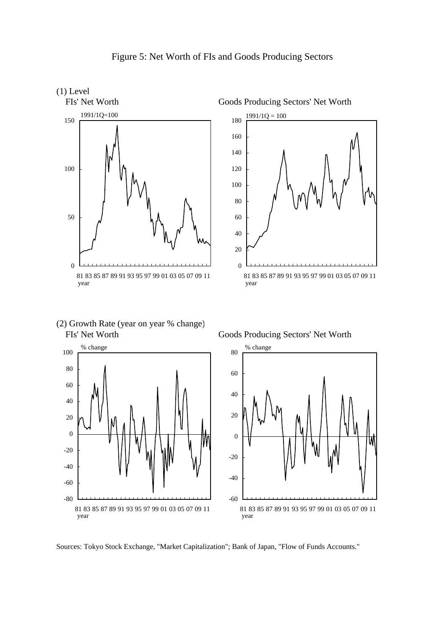



(2) Growth Rate (year on year % change) FIs' Net Worth Goods Producing Sectors' Net Worth





Sources: Tokyo Stock Exchange, "Market Capitalization"; Bank of Japan, "Flow of Funds Accounts."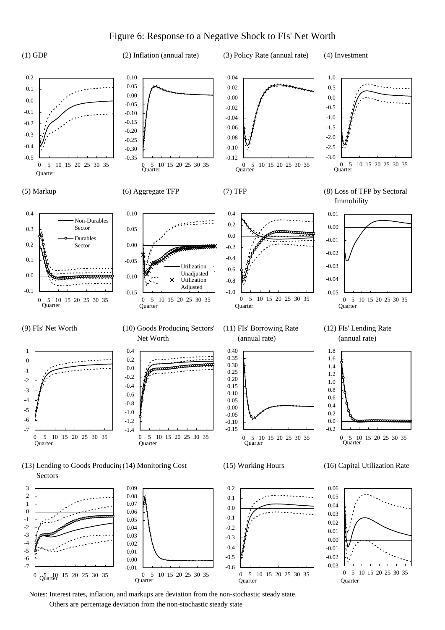### Figure 6: Response to a Negative Shock to FIs' Net Worth



Notes: Interest rates, inflation, and markups are deviation from the non-stochastic steady state.

0 5 10 15 20 25 30 35

-0.6 -0.5 -0.4 -0.3 -0.2

Quarter

0 5 10 15 20 25 30 35

-0.03 -0.02 -0.01 0.00 0.01

Quarter

0 5 10 15 20 25 30 35

Others are percentage deviation from the non-stochastic steady state

**Ouarter** 

-0.01 0.00 0.01 0.02 0.03 0.04

-7 -6 -5 -4 -3 -2

0  $Q_{\text{water}}^{5}$  10 15 20 25 30 35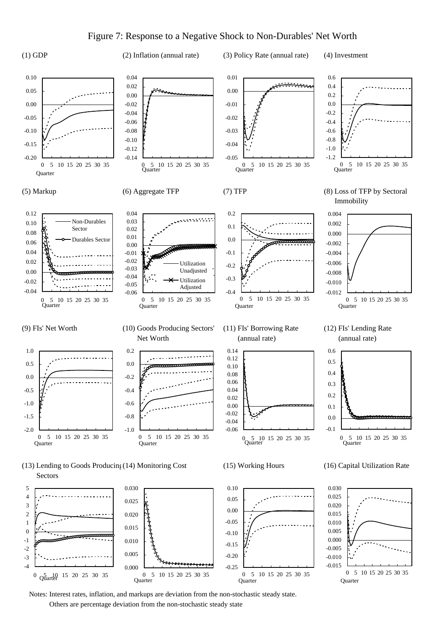### Figure 7: Response to a Negative Shock to Non-Durables' Net Worth



(1) GDP (2) Inflation (annual rate) (3) Policy Rate (annual rate) (4) Investment



Others are percentage deviation from the non-stochastic steady state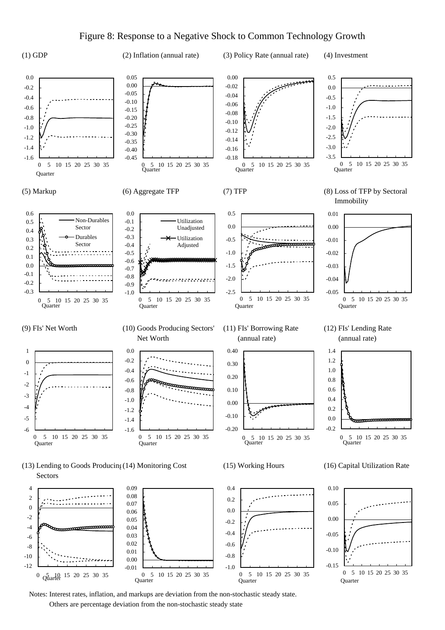### Figure 8: Response to a Negative Shock to Common Technology Growth



Others are percentage deviation from the non-stochastic steady state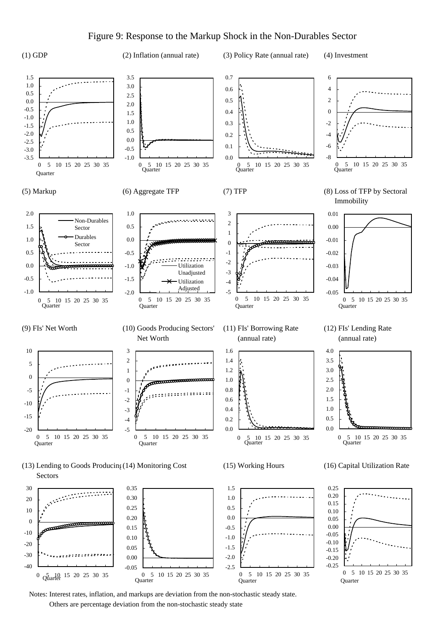### Figure 9: Response to the Markup Shock in the Non-Durables Sector



Notes: Interest rates, inflation, and markups are deviation from the non-stochastic steady state.

Others are percentage deviation from the non-stochastic steady state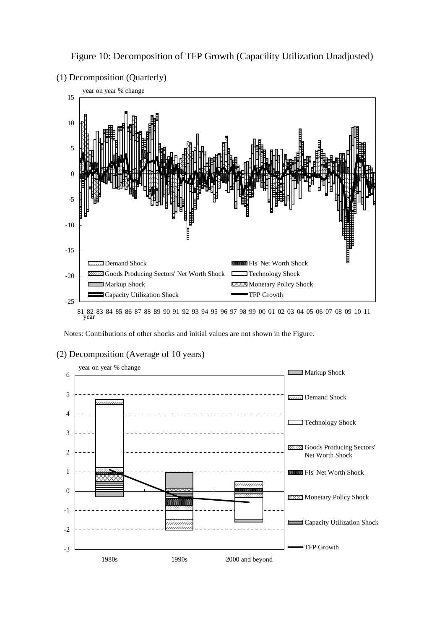

Figure 10: Decomposition of TFP Growth (Capacility Utilization Unadjusted)



81 82 83 84 85 86 87 88 89 90 91 92 93 94 95 96 97 98 99 00 01 02 03 04 05 06 07 08 09 10 11 year

Notes: Contributions of other shocks and initial values are not shown in the Figure.

### (2) Decomposition (Average of 10 years)

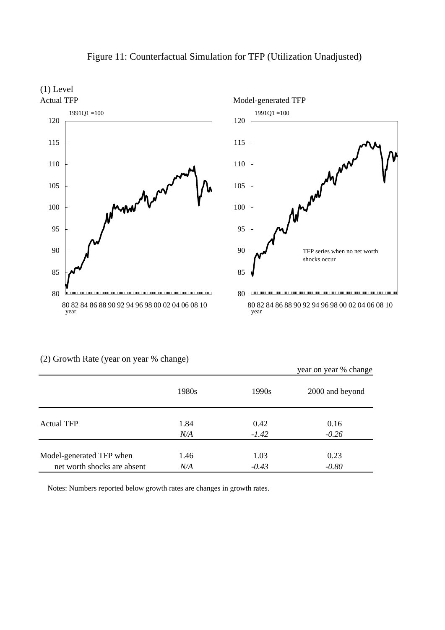

# Figure 11: Counterfactual Simulation for TFP (Utilization Unadjusted)

|                             |       |         | year on year % change |
|-----------------------------|-------|---------|-----------------------|
|                             | 1980s | 1990s   | 2000 and beyond       |
| <b>Actual TFP</b>           | 1.84  | 0.42    | 0.16                  |
|                             | N/A   | $-1.42$ | $-0.26$               |
| Model-generated TFP when    | 1.46  | 1.03    | 0.23                  |
| net worth shocks are absent | N/A   | $-0.43$ | $-0.80$               |

(2) Growth Rate (year on year % change)

Notes: Numbers reported below growth rates are changes in growth rates.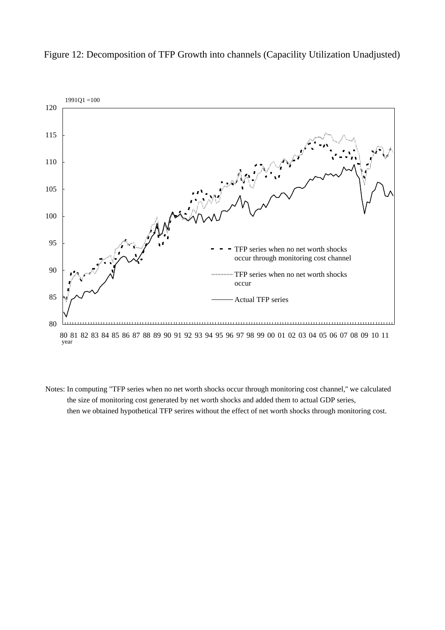

Figure 12: Decomposition of TFP Growth into channels (Capacility Utilization Unadjusted)

 Notes: In computing "TFP series when no net worth shocks occur through monitoring cost channel,'' we calculated the size of monitoring cost generated by net worth shocks and added them to actual GDP series, then we obtained hypothetical TFP serires without the effect of net worth shocks through monitoring cost.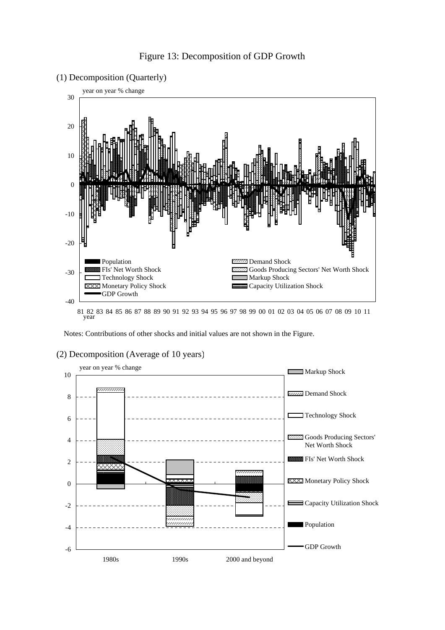

(1) Decomposition (Quarterly)



81 82 83 84 85 86 87 88 89 90 91 92 93 94 95 96 97 98 99 00 01 02 03 04 05 06 07 08 09 10 11 year

Notes: Contributions of other shocks and initial values are not shown in the Figure.



### (2) Decomposition (Average of 10 years)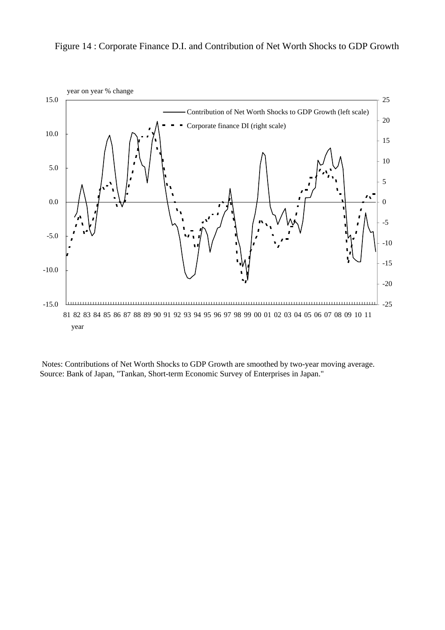Figure 14 : Corporate Finance D.I. and Contribution of Net Worth Shocks to GDP Growth



 Notes: Contributions of Net Worth Shocks to GDP Growth are smoothed by two-year moving average. Source: Bank of Japan, "Tankan, Short-term Economic Survey of Enterprises in Japan."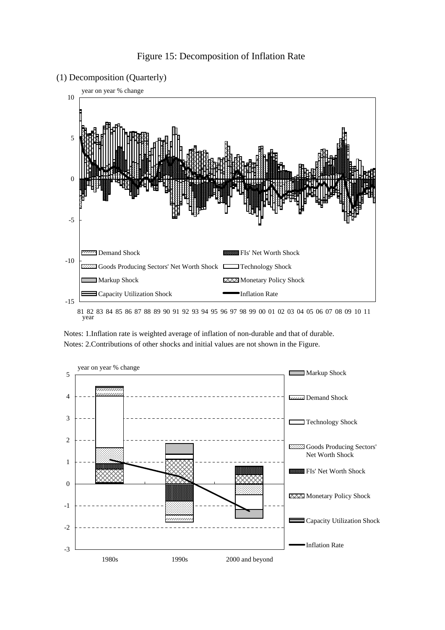





 Notes: 1.Inflation rate is weighted average of inflation of non-durable and that of durable. Notes: 2.Contributions of other shocks and initial values are not shown in the Figure.

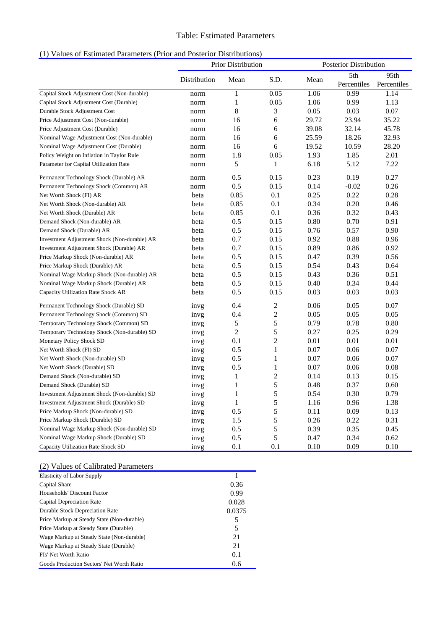### Table: Estimated Parameters

|  | (1) Values of Estimated Parameters (Prior and Posterior Distributions) |  |
|--|------------------------------------------------------------------------|--|
|  |                                                                        |  |

|                                              | Prior Distribution |                | Posterior Distribution |       |             |             |
|----------------------------------------------|--------------------|----------------|------------------------|-------|-------------|-------------|
|                                              | Distribution       | Mean           | S.D.                   | Mean  | 5th         | 95th        |
|                                              |                    |                |                        |       | Percentiles | Percentiles |
| Capital Stock Adjustment Cost (Non-durable)  | norm               | $\mathbf 1$    | 0.05                   | 1.06  | 0.99        | 1.14        |
| Capital Stock Adjustment Cost (Durable)      | norm               | $\mathbf{1}$   | 0.05                   | 1.06  | 0.99        | 1.13        |
| Durable Stock Adjustment Cost                | norm               | 8              | $\mathfrak{Z}$         | 0.05  | 0.03        | 0.07        |
| Price Adjustment Cost (Non-durable)          | norm               | 16             | 6                      | 29.72 | 23.94       | 35.22       |
| Price Adjustment Cost (Durable)              | norm               | 16             | 6                      | 39.08 | 32.14       | 45.78       |
| Nominal Wage Adjustment Cost (Non-durable)   | norm               | 16             | 6                      | 25.59 | 18.26       | 32.93       |
| Nominal Wage Adjustment Cost (Durable)       | norm               | 16             | 6                      | 19.52 | 10.59       | 28.20       |
| Policy Weight on Inflation in Taylor Rule    | norm               | 1.8            | 0.05                   | 1.93  | 1.85        | 2.01        |
| Parameter for Capital Utilization Rate       | norm               | 5              | 1                      | 6.18  | 5.12        | 7.22        |
| Permanent Technology Shock (Durable) AR      | norm               | 0.5            | 0.15                   | 0.23  | 0.19        | 0.27        |
| Permanent Technology Shock (Common) AR       | norm               | 0.5            | 0.15                   | 0.14  | $-0.02$     | 0.26        |
| Net Worth Shock (FI) AR                      | beta               | 0.85           | 0.1                    | 0.25  | 0.22        | 0.28        |
| Net Worth Shock (Non-durable) AR             | beta               | 0.85           | 0.1                    | 0.34  | 0.20        | 0.46        |
| Net Worth Shock (Durable) AR                 | beta               | 0.85           | 0.1                    | 0.36  | 0.32        | 0.43        |
| Demand Shock (Non-durable) AR                | beta               | $0.5\,$        | 0.15                   | 0.80  | 0.70        | 0.91        |
| Demand Shock (Durable) AR                    | beta               | 0.5            | 0.15                   | 0.76  | 0.57        | 0.90        |
| Investment Adjustment Shock (Non-durable) AR | beta               | 0.7            | 0.15                   | 0.92  | 0.88        | 0.96        |
| Investment Adjustment Shock (Durable) AR     | beta               | 0.7            | 0.15                   | 0.89  | 0.86        | 0.92        |
| Price Markup Shock (Non-durable) AR          | beta               | 0.5            | 0.15                   | 0.47  | 0.39        | 0.56        |
| Price Markup Shock (Durable) AR              | beta               | 0.5            | 0.15                   | 0.54  | 0.43        | 0.64        |
| Nominal Wage Markup Shock (Non-durable) AR   | beta               | 0.5            | 0.15                   | 0.43  | 0.36        | 0.51        |
| Nominal Wage Markup Shock (Durable) AR       | beta               | 0.5            | 0.15                   | 0.40  | 0.34        | 0.44        |
| Capacity Utilization Rate Shock AR           | beta               | 0.5            | 0.15                   | 0.03  | 0.03        | 0.03        |
| Permanent Technology Shock (Durable) SD      | invg               | 0.4            | $\overline{c}$         | 0.06  | 0.05        | 0.07        |
| Permanent Technology Shock (Common) SD       | invg               | 0.4            | $\sqrt{2}$             | 0.05  | 0.05        | 0.05        |
| Temporary Technology Shock (Common) SD       | invg               | 5              | 5                      | 0.79  | 0.78        | 0.80        |
| Temporary Technology Shock (Non-durable) SD  | invg               | $\overline{c}$ | 5                      | 0.27  | 0.25        | 0.29        |
| Monetary Policy Shock SD                     | invg               | $0.1\,$        | $\overline{2}$         | 0.01  | 0.01        | 0.01        |
| Net Worth Shock (FI) SD                      | invg               | 0.5            | $\mathbf{1}$           | 0.07  | 0.06        | 0.07        |
| Net Worth Shock (Non-durable) SD             | invg               | 0.5            | $\mathbf{1}$           | 0.07  | 0.06        | 0.07        |
| Net Worth Shock (Durable) SD                 | invg               | 0.5            | $\mathbf{1}$           | 0.07  | 0.06        | 0.08        |
| Demand Shock (Non-durable) SD                | invg               | 1              | $\sqrt{2}$             | 0.14  | 0.13        | 0.15        |
| Demand Shock (Durable) SD                    | invg               | $\mathbf{1}$   | 5                      | 0.48  | 0.37        | 0.60        |
| Investment Adjustment Shock (Non-durable) SD | invg               | $\mathbf{1}$   | 5                      | 0.54  | 0.30        | 0.79        |
| Investment Adjustment Shock (Durable) SD     | invg               | $\mathbf{1}$   | 5                      | 1.16  | 0.96        | 1.38        |
| Price Markup Shock (Non-durable) SD          | invg               | 0.5            | 5                      | 0.11  | 0.09        | 0.13        |
| Price Markup Shock (Durable) SD              | invg               | 1.5            | 5                      | 0.26  | 0.22        | 0.31        |
| Nominal Wage Markup Shock (Non-durable) SD   | invg               | 0.5            | 5                      | 0.39  | 0.35        | 0.45        |
| Nominal Wage Markup Shock (Durable) SD       | invg               | 0.5            | 5                      | 0.47  | 0.34        | 0.62        |
| Capacity Utilization Rate Shock SD           | invg               | 0.1            | 0.1                    | 0.10  | 0.09        | 0.10        |

### (2) Values of Calibrated Parameters

| <b>Elasticity of Labor Supply</b>          |        |
|--------------------------------------------|--------|
| Capital Share                              | 0.36   |
| Households' Discount Factor                | 0.99   |
| Capital Depreciation Rate                  | 0.028  |
| <b>Durable Stock Depreciation Rate</b>     | 0.0375 |
| Price Markup at Steady State (Non-durable) | 5      |
| Price Markup at Steady State (Durable)     | 5      |
| Wage Markup at Steady State (Non-durable)  | 21     |
| Wage Markup at Steady State (Durable)      | 21     |
| FIs' Net Worth Ratio                       | 0.1    |
| Goods Production Sectors' Net Worth Ratio  | 0.6    |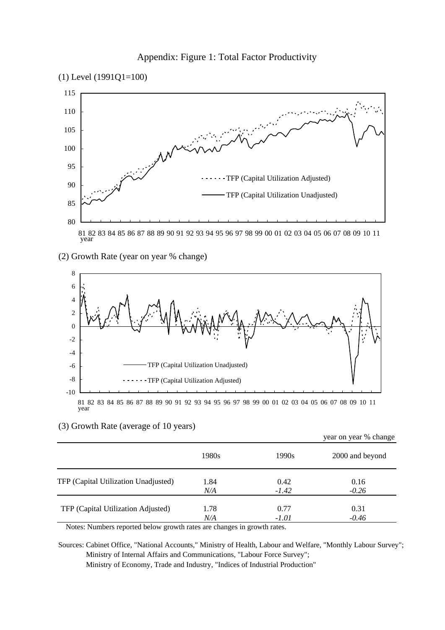



(2) Growth Rate (year on year % change)



81 82 83 84 85 86 87 88 89 90 91 92 93 94 95 96 97 98 99 00 01 02 03 04 05 06 07 08 09 10 11 year

### (3) Growth Rate (average of 10 years)

|                                      |       |         | year on year % change |
|--------------------------------------|-------|---------|-----------------------|
|                                      | 1980s | 1990s   | 2000 and beyond       |
| TFP (Capital Utilization Unadjusted) | 1.84  | 0.42    | 0.16                  |
|                                      | N/A   | $-1.42$ | $-0.26$               |
| TFP (Capital Utilization Adjusted)   | 1.78  | 0.77    | 0.31                  |
|                                      | N/A   | $-1.01$ | $-0.46$               |

Notes: Numbers reported below growth rates are changes in growth rates.

Sources: Cabinet Office, "National Accounts," Ministry of Health, Labour and Welfare, "Monthly Labour Survey"; Ministry of Internal Affairs and Communications, "Labour Force Survey"; Ministry of Economy, Trade and Industry, "Indices of Industrial Production"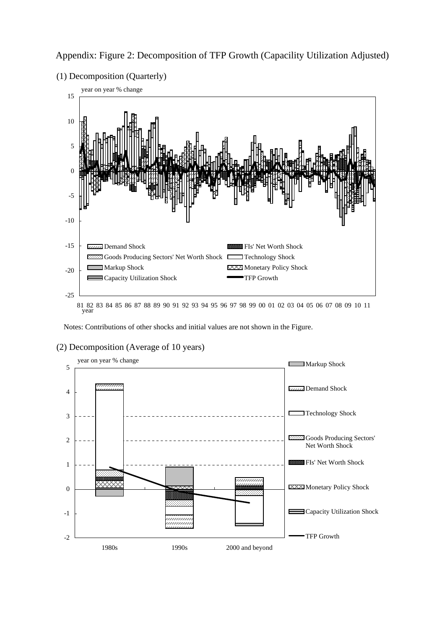

Appendix: Figure 2: Decomposition of TFP Growth (Capacility Utilization Adjusted)

(2) Decomposition (Average of 10 years) year on year % change

Notes: Contributions of other shocks and initial values are not shown in the Figure.